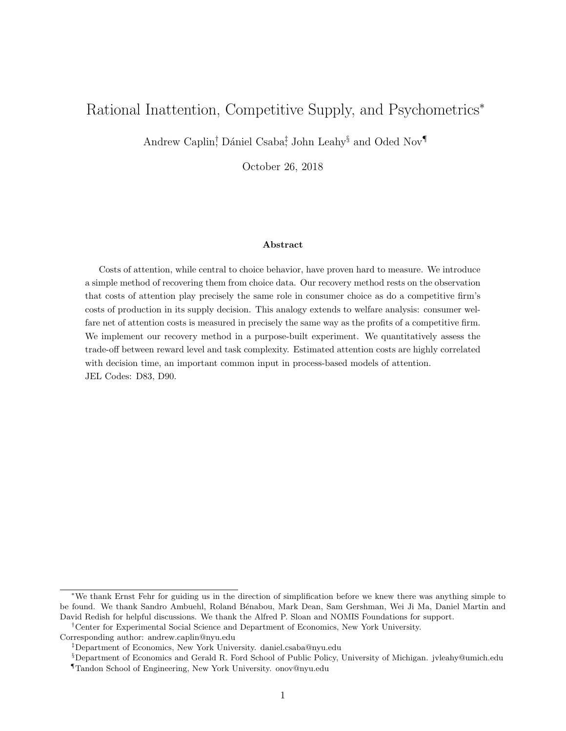# <span id="page-0-0"></span>Rational Inattention, Competitive Supply, and Psychometrics<sup>∗</sup>

Andrew Caplin<sup>†</sup>, Dániel Csaba<sup>‡</sup>, John Leahy<sup>§</sup> and Oded Nov¶

October 26, 2018

#### Abstract

Costs of attention, while central to choice behavior, have proven hard to measure. We introduce a simple method of recovering them from choice data. Our recovery method rests on the observation that costs of attention play precisely the same role in consumer choice as do a competitive firm's costs of production in its supply decision. This analogy extends to welfare analysis: consumer welfare net of attention costs is measured in precisely the same way as the profits of a competitive firm. We implement our recovery method in a purpose-built experiment. We quantitatively assess the trade-off between reward level and task complexity. Estimated attention costs are highly correlated with decision time, an important common input in process-based models of attention. JEL Codes: D83, D90.

<sup>∗</sup>We thank Ernst Fehr for guiding us in the direction of simplification before we knew there was anything simple to be found. We thank Sandro Ambuehl, Roland B´enabou, Mark Dean, Sam Gershman, Wei Ji Ma, Daniel Martin and David Redish for helpful discussions. We thank the Alfred P. Sloan and NOMIS Foundations for support.

<sup>†</sup>Center for Experimental Social Science and Department of Economics, New York University.

Corresponding author: [andrew.caplin@nyu.edu](mailto: andrew.caplin@nyu.edu)

<sup>‡</sup>Department of Economics, New York University. [daniel.csaba@nyu.edu](mailto:daniel.csaba@nyu.edu)

<sup>§</sup>Department of Economics and Gerald R. Ford School of Public Policy, University of Michigan. [jvleahy@umich.edu](mailto: jvleahy@umich.edu)

<sup>¶</sup>Tandon School of Engineering, New York University. [onov@nyu.edu](mailto:onov@nyu.edu)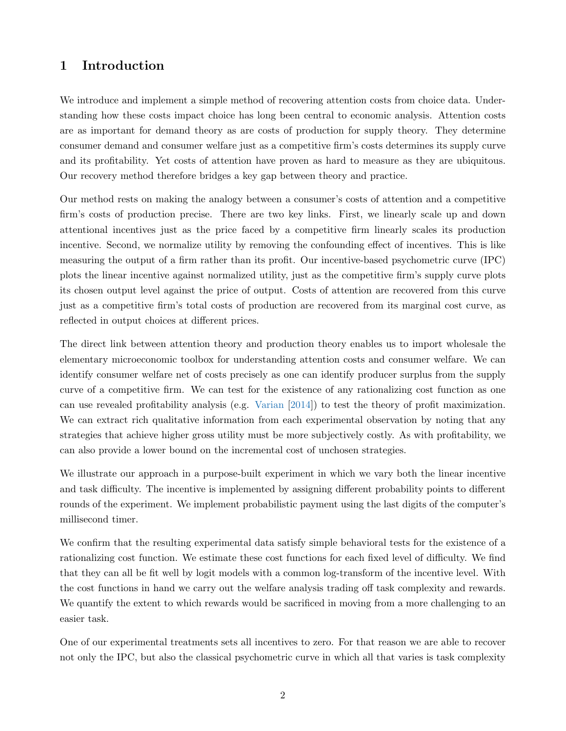# 1 Introduction

We introduce and implement a simple method of recovering attention costs from choice data. Understanding how these costs impact choice has long been central to economic analysis. Attention costs are as important for demand theory as are costs of production for supply theory. They determine consumer demand and consumer welfare just as a competitive firm's costs determines its supply curve and its profitability. Yet costs of attention have proven as hard to measure as they are ubiquitous. Our recovery method therefore bridges a key gap between theory and practice.

Our method rests on making the analogy between a consumer's costs of attention and a competitive firm's costs of production precise. There are two key links. First, we linearly scale up and down attentional incentives just as the price faced by a competitive firm linearly scales its production incentive. Second, we normalize utility by removing the confounding effect of incentives. This is like measuring the output of a firm rather than its profit. Our incentive-based psychometric curve (IPC) plots the linear incentive against normalized utility, just as the competitive firm's supply curve plots its chosen output level against the price of output. Costs of attention are recovered from this curve just as a competitive firm's total costs of production are recovered from its marginal cost curve, as reflected in output choices at different prices.

The direct link between attention theory and production theory enables us to import wholesale the elementary microeconomic toolbox for understanding attention costs and consumer welfare. We can identify consumer welfare net of costs precisely as one can identify producer surplus from the supply curve of a competitive firm. We can test for the existence of any rationalizing cost function as one can use revealed profitability analysis (e.g. [Varian](#page-28-0) [\[2014\]](#page-28-0)) to test the theory of profit maximization. We can extract rich qualitative information from each experimental observation by noting that any strategies that achieve higher gross utility must be more subjectively costly. As with profitability, we can also provide a lower bound on the incremental cost of unchosen strategies.

We illustrate our approach in a purpose-built experiment in which we vary both the linear incentive and task difficulty. The incentive is implemented by assigning different probability points to different rounds of the experiment. We implement probabilistic payment using the last digits of the computer's millisecond timer.

We confirm that the resulting experimental data satisfy simple behavioral tests for the existence of a rationalizing cost function. We estimate these cost functions for each fixed level of difficulty. We find that they can all be fit well by logit models with a common log-transform of the incentive level. With the cost functions in hand we carry out the welfare analysis trading off task complexity and rewards. We quantify the extent to which rewards would be sacrificed in moving from a more challenging to an easier task.

One of our experimental treatments sets all incentives to zero. For that reason we are able to recover not only the IPC, but also the classical psychometric curve in which all that varies is task complexity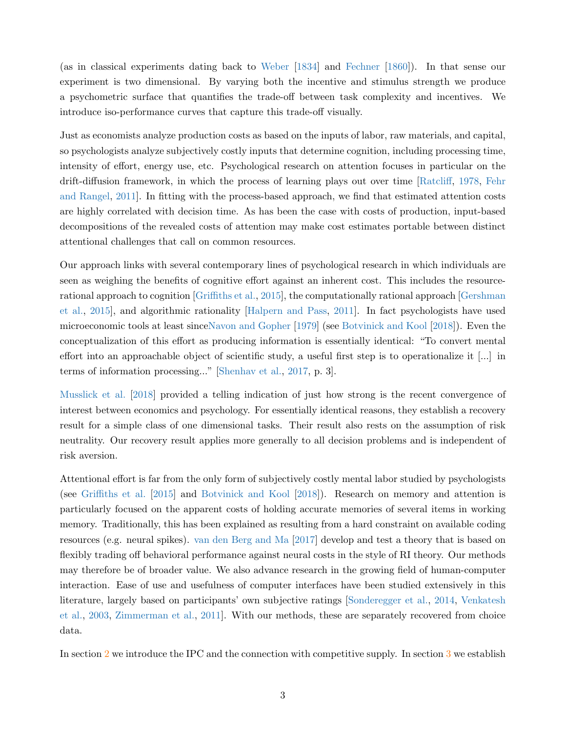(as in classical experiments dating back to [Weber](#page-28-1) [\[1834\]](#page-28-1) and [Fechner](#page-27-0) [\[1860\]](#page-27-0)). In that sense our experiment is two dimensional. By varying both the incentive and stimulus strength we produce a psychometric surface that quantifies the trade-off between task complexity and incentives. We introduce iso-performance curves that capture this trade-off visually.

Just as economists analyze production costs as based on the inputs of labor, raw materials, and capital, so psychologists analyze subjectively costly inputs that determine cognition, including processing time, intensity of effort, energy use, etc. Psychological research on attention focuses in particular on the drift-diffusion framework, in which the process of learning plays out over time [\[Ratcliff,](#page-28-2) [1978,](#page-28-2) [Fehr](#page-27-1) [and Rangel,](#page-27-1) [2011\]](#page-27-1). In fitting with the process-based approach, we find that estimated attention costs are highly correlated with decision time. As has been the case with costs of production, input-based decompositions of the revealed costs of attention may make cost estimates portable between distinct attentional challenges that call on common resources.

Our approach links with several contemporary lines of psychological research in which individuals are seen as weighing the benefits of cognitive effort against an inherent cost. This includes the resourcerational approach to cognition [\[Griffiths et al.,](#page-27-2) [2015\]](#page-27-2), the computationally rational approach [\[Gershman](#page-27-3) [et al.,](#page-27-3) [2015\]](#page-27-3), and algorithmic rationality [\[Halpern and Pass,](#page-27-4) [2011\]](#page-27-4). In fact psychologists have used microeconomic tools at least sinc[eNavon and Gopher](#page-28-3) [\[1979\]](#page-28-3) (see [Botvinick and Kool](#page-27-5) [\[2018\]](#page-27-5)). Even the conceptualization of this effort as producing information is essentially identical: "To convert mental effort into an approachable object of scientific study, a useful first step is to operationalize it [...] in terms of information processing..." [\[Shenhav et al.,](#page-28-4) [2017,](#page-28-4) p. 3].

[Musslick et al.](#page-28-5) [\[2018\]](#page-28-5) provided a telling indication of just how strong is the recent convergence of interest between economics and psychology. For essentially identical reasons, they establish a recovery result for a simple class of one dimensional tasks. Their result also rests on the assumption of risk neutrality. Our recovery result applies more generally to all decision problems and is independent of risk aversion.

Attentional effort is far from the only form of subjectively costly mental labor studied by psychologists (see [Griffiths et al.](#page-27-2) [\[2015\]](#page-27-2) and [Botvinick and Kool](#page-27-5) [\[2018\]](#page-27-5)). Research on memory and attention is particularly focused on the apparent costs of holding accurate memories of several items in working memory. Traditionally, this has been explained as resulting from a hard constraint on available coding resources (e.g. neural spikes). [van den Berg and Ma](#page-28-6) [\[2017\]](#page-28-6) develop and test a theory that is based on flexibly trading off behavioral performance against neural costs in the style of RI theory. Our methods may therefore be of broader value. We also advance research in the growing field of human-computer interaction. Ease of use and usefulness of computer interfaces have been studied extensively in this literature, largely based on participants' own subjective ratings [\[Sonderegger et al.,](#page-28-7) [2014,](#page-28-7) [Venkatesh](#page-28-8) [et al.,](#page-28-8) [2003,](#page-28-8) [Zimmerman et al.,](#page-28-9) [2011\]](#page-28-9). With our methods, these are separately recovered from choice data.

In section [2](#page-3-0) we introduce the IPC and the connection with competitive supply. In section [3](#page-5-0) we establish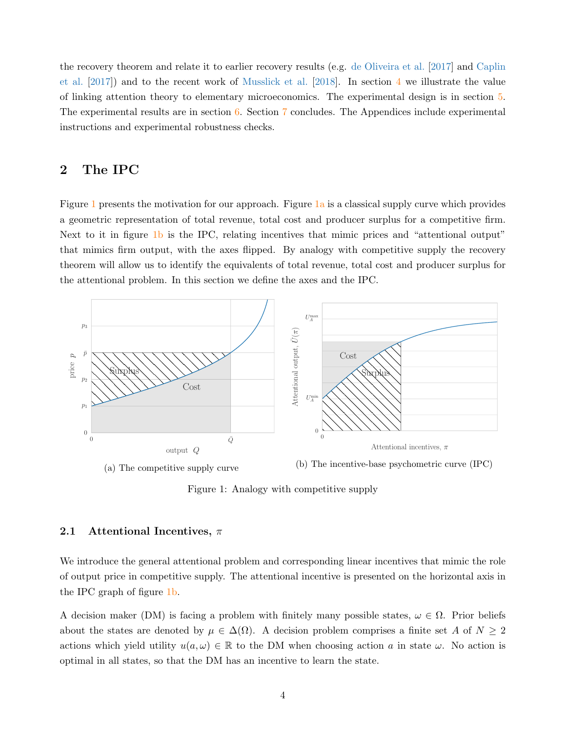the recovery theorem and relate it to earlier recovery results (e.g. [de Oliveira et al.](#page-27-6) [\[2017\]](#page-27-6) and [Caplin](#page-27-7) [et al.](#page-27-7) [\[2017\]](#page-27-7)) and to the recent work of [Musslick et al.](#page-28-5) [\[2018\]](#page-28-5). In section [4](#page-10-0) we illustrate the value of linking attention theory to elementary microeconomics. The experimental design is in section [5.](#page-14-0) The experimental results are in section [6.](#page-19-0) Section [7](#page-25-0) concludes. The Appendices include experimental instructions and experimental robustness checks.

# <span id="page-3-0"></span>2 The IPC

Figure [1](#page-3-1) presents the motivation for our approach. Figure [1a](#page-3-1) is a classical supply curve which provides a geometric representation of total revenue, total cost and producer surplus for a competitive firm. Next to it in figure [1b](#page-3-1) is the IPC, relating incentives that mimic prices and "attentional output" that mimics firm output, with the axes flipped. By analogy with competitive supply the recovery theorem will allow us to identify the equivalents of total revenue, total cost and producer surplus for the attentional problem. In this section we define the axes and the IPC.

<span id="page-3-1"></span>

Figure 1: Analogy with competitive supply

### 2.1 Attentional Incentives,  $\pi$

We introduce the general attentional problem and corresponding linear incentives that mimic the role of output price in competitive supply. The attentional incentive is presented on the horizontal axis in the IPC graph of figure [1b.](#page-3-1)

A decision maker (DM) is facing a problem with finitely many possible states,  $\omega \in \Omega$ . Prior beliefs about the states are denoted by  $\mu \in \Delta(\Omega)$ . A decision problem comprises a finite set A of  $N \geq 2$ actions which yield utility  $u(a, \omega) \in \mathbb{R}$  to the DM when choosing action a in state  $\omega$ . No action is optimal in all states, so that the DM has an incentive to learn the state.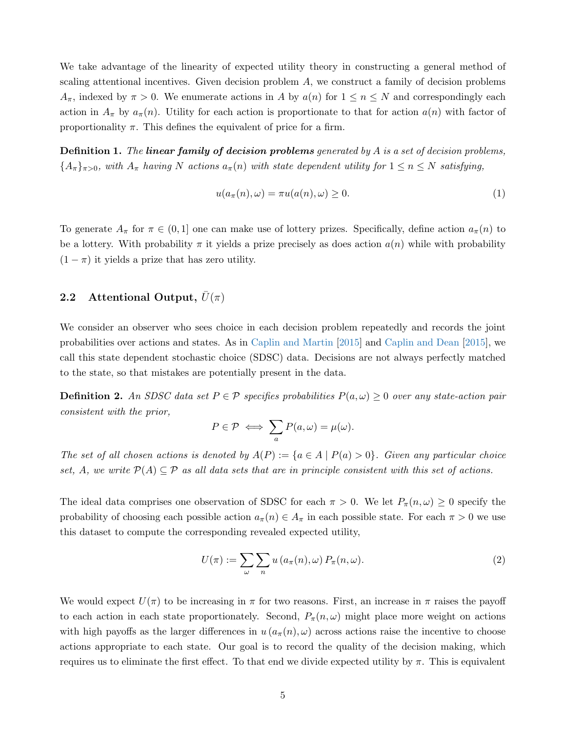We take advantage of the linearity of expected utility theory in constructing a general method of scaling attentional incentives. Given decision problem  $A$ , we construct a family of decision problems  $A_{\pi}$ , indexed by  $\pi > 0$ . We enumerate actions in A by  $a(n)$  for  $1 \leq n \leq N$  and correspondingly each action in  $A_{\pi}$  by  $a_{\pi}(n)$ . Utility for each action is proportionate to that for action  $a(n)$  with factor of proportionality  $\pi$ . This defines the equivalent of price for a firm.

**Definition 1.** The linear family of decision problems generated by  $A$  is a set of decision problems,  ${A_{\pi}}_{\pi>0}$ , with  $A_{\pi}$  having N actions  $a_{\pi}(n)$  with state dependent utility for  $1 \leq n \leq N$  satisfying,

$$
u(a_{\pi}(n), \omega) = \pi u(a(n), \omega) \ge 0.
$$
\n<sup>(1)</sup>

To generate  $A_{\pi}$  for  $\pi \in (0,1]$  one can make use of lottery prizes. Specifically, define action  $a_{\pi}(n)$  to be a lottery. With probability  $\pi$  it yields a prize precisely as does action  $a(n)$  while with probability  $(1 - \pi)$  it yields a prize that has zero utility.

## 2.2 Attentional Output,  $\bar{U}(\pi)$

We consider an observer who sees choice in each decision problem repeatedly and records the joint probabilities over actions and states. As in [Caplin and Martin](#page-27-8) [\[2015\]](#page-27-8) and [Caplin and Dean](#page-27-9) [\[2015\]](#page-27-9), we call this state dependent stochastic choice (SDSC) data. Decisions are not always perfectly matched to the state, so that mistakes are potentially present in the data.

**Definition 2.** An SDSC data set  $P \in \mathcal{P}$  specifies probabilities  $P(a,\omega) \geq 0$  over any state-action pair consistent with the prior,

$$
P \in \mathcal{P} \iff \sum_{a} P(a, \omega) = \mu(\omega).
$$

The set of all chosen actions is denoted by  $A(P) := \{a \in A \mid P(a) > 0\}$ . Given any particular choice set, A, we write  $\mathcal{P}(A) \subseteq \mathcal{P}$  as all data sets that are in principle consistent with this set of actions.

The ideal data comprises one observation of SDSC for each  $\pi > 0$ . We let  $P_{\pi}(n, \omega) \geq 0$  specify the probability of choosing each possible action  $a_{\pi}(n) \in A_{\pi}$  in each possible state. For each  $\pi > 0$  we use this dataset to compute the corresponding revealed expected utility,

$$
U(\pi) := \sum_{\omega} \sum_{n} u(a_{\pi}(n), \omega) P_{\pi}(n, \omega).
$$
 (2)

We would expect  $U(\pi)$  to be increasing in  $\pi$  for two reasons. First, an increase in  $\pi$  raises the payoff to each action in each state proportionately. Second,  $P_{\pi}(n,\omega)$  might place more weight on actions with high payoffs as the larger differences in  $u(a_{\pi}(n), \omega)$  across actions raise the incentive to choose actions appropriate to each state. Our goal is to record the quality of the decision making, which requires us to eliminate the first effect. To that end we divide expected utility by  $\pi$ . This is equivalent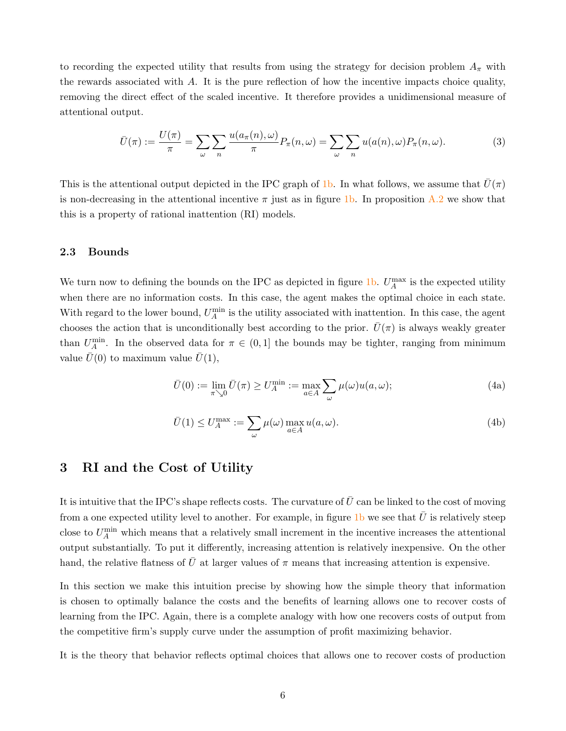to recording the expected utility that results from using the strategy for decision problem  $A_{\pi}$  with the rewards associated with  $A$ . It is the pure reflection of how the incentive impacts choice quality, removing the direct effect of the scaled incentive. It therefore provides a unidimensional measure of attentional output.

<span id="page-5-1"></span>
$$
\bar{U}(\pi) := \frac{U(\pi)}{\pi} = \sum_{\omega} \sum_{n} \frac{u(a_{\pi}(n), \omega)}{\pi} P_{\pi}(n, \omega) = \sum_{\omega} \sum_{n} u(a(n), \omega) P_{\pi}(n, \omega).
$$
 (3)

This is the attentional output depicted in the IPC graph of [1b.](#page-3-1) In what follows, we assume that  $\bar{U}(\pi)$ is non-decreasing in the attentional incentive  $\pi$  just as in figure [1b.](#page-3-1) In proposition [A.2](#page-29-0) we show that this is a property of rational inattention (RI) models.

#### 2.3 Bounds

We turn now to defining the bounds on the IPC as depicted in figure [1b.](#page-3-1)  $U_A^{\max}$  is the expected utility when there are no information costs. In this case, the agent makes the optimal choice in each state. With regard to the lower bound,  $U_A^{\min}$  is the utility associated with inattention. In this case, the agent chooses the action that is unconditionally best according to the prior.  $\bar{U}(\pi)$  is always weakly greater than  $U_A^{\min}$ . In the observed data for  $\pi \in (0,1]$  the bounds may be tighter, ranging from minimum value  $\bar{U}(0)$  to maximum value  $\bar{U}(1)$ ,

$$
\bar{U}(0) := \lim_{\pi \searrow 0} \bar{U}(\pi) \ge U_A^{\min} := \max_{a \in A} \sum_{\omega} \mu(\omega) u(a, \omega); \tag{4a}
$$

$$
\bar{U}(1) \le U_A^{\max} := \sum_{\omega} \mu(\omega) \max_{a \in A} u(a, \omega).
$$
\n(4b)

## <span id="page-5-0"></span>3 RI and the Cost of Utility

It is intuitive that the IPC's shape reflects costs. The curvature of  $\bar{U}$  can be linked to the cost of moving from a one expected utility level to another. For example, in figure [1b](#page-3-1) we see that  $\bar{U}$  is relatively steep close to  $U_A^{\min}$  which means that a relatively small increment in the incentive increases the attentional output substantially. To put it differently, increasing attention is relatively inexpensive. On the other hand, the relative flatness of  $\bar{U}$  at larger values of  $\pi$  means that increasing attention is expensive.

In this section we make this intuition precise by showing how the simple theory that information is chosen to optimally balance the costs and the benefits of learning allows one to recover costs of learning from the IPC. Again, there is a complete analogy with how one recovers costs of output from the competitive firm's supply curve under the assumption of profit maximizing behavior.

It is the theory that behavior reflects optimal choices that allows one to recover costs of production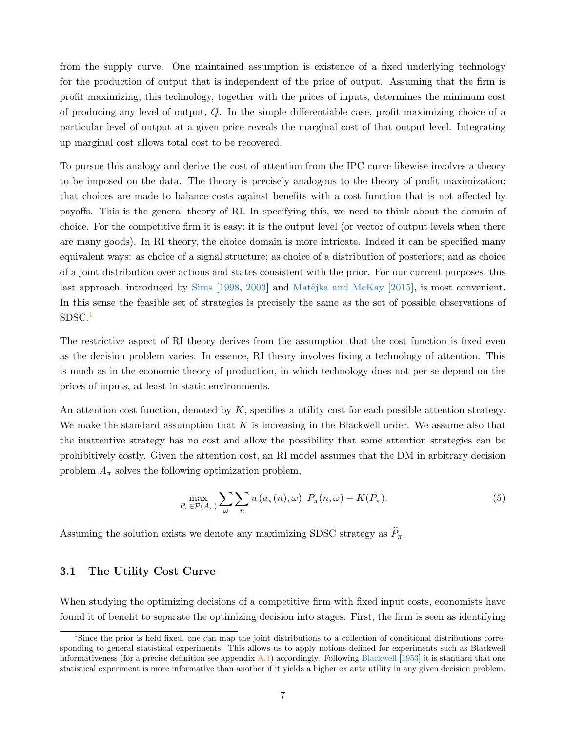from the supply curve. One maintained assumption is existence of a fixed underlying technology for the production of output that is independent of the price of output. Assuming that the firm is profit maximizing, this technology, together with the prices of inputs, determines the minimum cost of producing any level of output, Q. In the simple differentiable case, profit maximizing choice of a particular level of output at a given price reveals the marginal cost of that output level. Integrating up marginal cost allows total cost to be recovered.

To pursue this analogy and derive the cost of attention from the IPC curve likewise involves a theory to be imposed on the data. The theory is precisely analogous to the theory of profit maximization: that choices are made to balance costs against benefits with a cost function that is not affected by payoffs. This is the general theory of RI. In specifying this, we need to think about the domain of choice. For the competitive firm it is easy: it is the output level (or vector of output levels when there are many goods). In RI theory, the choice domain is more intricate. Indeed it can be specified many equivalent ways: as choice of a signal structure; as choice of a distribution of posteriors; and as choice of a joint distribution over actions and states consistent with the prior. For our current purposes, this last approach, introduced by [Sims](#page-28-10)  $[1998, 2003]$  $[1998, 2003]$  $[1998, 2003]$  and Matêjka and McKay  $[2015]$ , is most convenient. In this sense the feasible set of strategies is precisely the same as the set of possible observations of SDSC.<sup>[1](#page-0-0)</sup>

The restrictive aspect of RI theory derives from the assumption that the cost function is fixed even as the decision problem varies. In essence, RI theory involves fixing a technology of attention. This is much as in the economic theory of production, in which technology does not per se depend on the prices of inputs, at least in static environments.

An attention cost function, denoted by  $K$ , specifies a utility cost for each possible attention strategy. We make the standard assumption that  $K$  is increasing in the Blackwell order. We assume also that the inattentive strategy has no cost and allow the possibility that some attention strategies can be prohibitively costly. Given the attention cost, an RI model assumes that the DM in arbitrary decision problem  $A_{\pi}$  solves the following optimization problem,

<span id="page-6-0"></span>
$$
\max_{P_{\pi} \in \mathcal{P}(A_{\pi})} \sum_{\omega} \sum_{n} u(a_{\pi}(n), \omega) P_{\pi}(n, \omega) - K(P_{\pi}).
$$
\n(5)

Assuming the solution exists we denote any maximizing SDSC strategy as  $\widehat{P}_{\pi}$ .

#### 3.1 The Utility Cost Curve

When studying the optimizing decisions of a competitive firm with fixed input costs, economists have found it of benefit to separate the optimizing decision into stages. First, the firm is seen as identifying

<sup>&</sup>lt;sup>1</sup>Since the prior is held fixed, one can map the joint distributions to a collection of conditional distributions corresponding to general statistical experiments. This allows us to apply notions defined for experiments such as Blackwell informativeness (for a precise definition see appendix  $\Lambda$ .1) accordingly. Following [Blackwell](#page-27-11) [\[1953\]](#page-27-11) it is standard that one statistical experiment is more informative than another if it yields a higher ex ante utility in any given decision problem.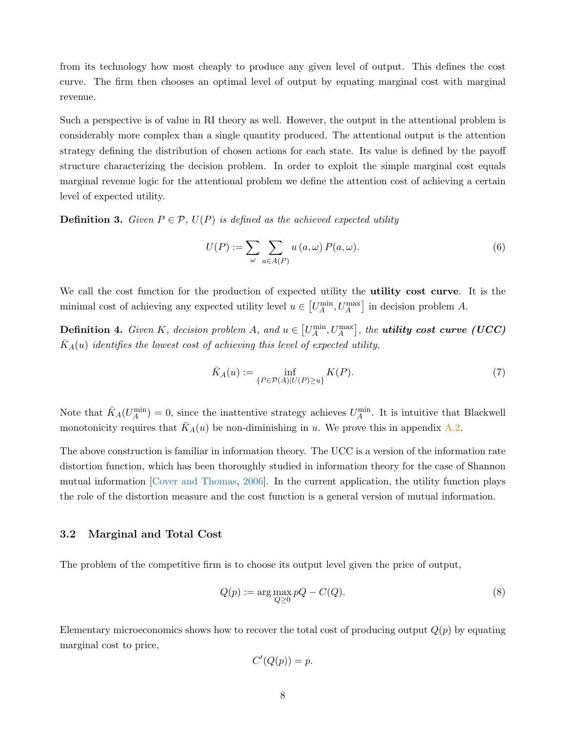from its technology how most cheaply to produce any given level of output. This defines the cost curve. The firm then chooses an optimal level of output by equating marginal cost with marginal revenue.

Such a perspective is of value in RI theory as well. However, the output in the attentional problem is considerably more complex than a single quantity produced. The attentional output is the attention strategy defining the distribution of chosen actions for each state. Its value is defined by the payoff structure characterizing the decision problem. In order to exploit the simple marginal cost equals marginal revenue logic for the attentional problem we define the attention cost of achieving a certain level of expected utility.

**Definition 3.** Given  $P \in \mathcal{P}$ ,  $U(P)$  is defined as the achieved expected utility

$$
U(P) := \sum_{\omega} \sum_{a \in A(P)} u(a, \omega) P(a, \omega).
$$
 (6)

We call the cost function for the production of expected utility the **utility cost curve**. It is the minimal cost of achieving any expected utility level  $u \in [U_A^{\min}, U_A^{\max}]$  in decision problem A.

**Definition 4.** Given K, decision problem A, and  $u \in \left[U_A^{\min}, U_A^{\max}\right]$ , the **utility cost curve (UCC)**  $\bar{K}_A(u)$  identifies the lowest cost of achieving this level of expected utility,

$$
\bar{K}_A(u) := \inf_{\{P \in \mathcal{P}(A) | U(P) \ge u\}} K(P). \tag{7}
$$

Note that  $\bar{K}_A(U_A^{\min})=0$ , since the inattentive strategy achieves  $U_A^{\min}$ . It is intuitive that Blackwell monotonicity requires that  $\bar{K}_A(u)$  be non-diminishing in u. We prove this in appendix [A.2.](#page-29-0)

The above construction is familiar in information theory. The UCC is a version of the information rate distortion function, which has been thoroughly studied in information theory for the case of Shannon mutual information [\[Cover and Thomas,](#page-27-12) [2006\]](#page-27-12). In the current application, the utility function plays the role of the distortion measure and the cost function is a general version of mutual information.

#### 3.2 Marginal and Total Cost

The problem of the competitive firm is to choose its output level given the price of output,

$$
Q(p) := \arg \max_{Q \ge 0} pQ - C(Q). \tag{8}
$$

Elementary microeconomics shows how to recover the total cost of producing output  $Q(p)$  by equating marginal cost to price,

$$
C'(Q(p)) = p.
$$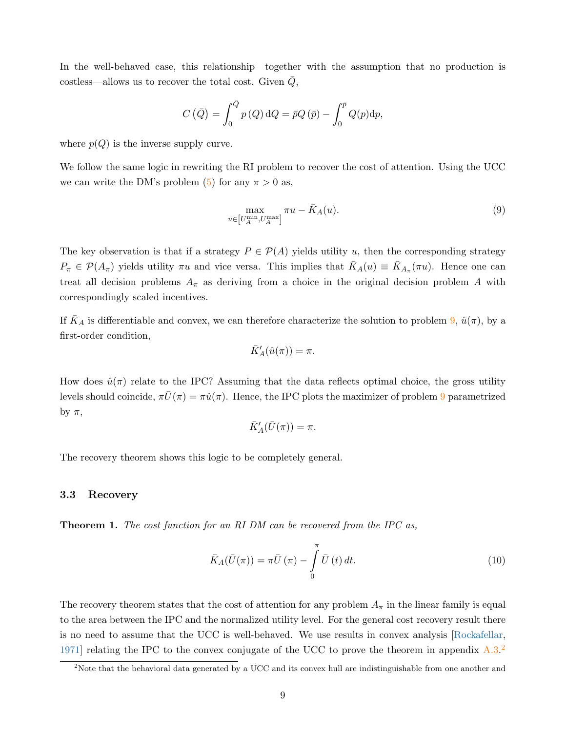In the well-behaved case, this relationship—together with the assumption that no production is  $costless—allows us to recover the total cost. Given Q,$ 

$$
C\left(\bar{Q}\right) = \int_0^{\bar{Q}} p\left(Q\right) \mathrm{d}Q = \bar{p}Q\left(\bar{p}\right) - \int_0^{\bar{p}} Q(p) \mathrm{d}p,
$$

where  $p(Q)$  is the inverse supply curve.

We follow the same logic in rewriting the RI problem to recover the cost of attention. Using the UCC we can write the DM's problem  $(5)$  for any  $\pi > 0$  as,

<span id="page-8-0"></span>
$$
\max_{u \in \left[U_A^{\min}, U_A^{\max}\right]} \pi u - \bar{K}_A(u). \tag{9}
$$

The key observation is that if a strategy  $P \in \mathcal{P}(A)$  yields utility u, then the corresponding strategy  $P_{\pi} \in \mathcal{P}(A_{\pi})$  yields utility  $\pi u$  and vice versa. This implies that  $\bar{K}_A(u) \equiv \bar{K}_{A_{\pi}}(\pi u)$ . Hence one can treat all decision problems  $A_{\pi}$  as deriving from a choice in the original decision problem A with correspondingly scaled incentives.

If  $K_A$  is differentiable and convex, we can therefore characterize the solution to problem [9,](#page-8-0)  $\hat{u}(\pi)$ , by a first-order condition,

$$
\bar{K}_A'(\hat{u}(\pi))=\pi.
$$

How does  $\hat{u}(\pi)$  relate to the IPC? Assuming that the data reflects optimal choice, the gross utility levels should coincide,  $\pi \bar{U}(\pi) = \pi \hat{u}(\pi)$ . Hence, the IPC plots the maximizer of problem [9](#page-8-0) parametrized by  $\pi$ ,

$$
\bar{K}'_A(\bar{U}(\pi)) = \pi.
$$

The recovery theorem shows this logic to be completely general.

#### 3.3 Recovery

<span id="page-8-1"></span>**Theorem 1.** The cost function for an RI DM can be recovered from the IPC as,

$$
\bar{K}_A(\bar{U}(\pi)) = \pi \bar{U}(\pi) - \int_0^{\pi} \bar{U}(t) dt.
$$
\n(10)

The recovery theorem states that the cost of attention for any problem  $A_{\pi}$  in the linear family is equal to the area between the IPC and the normalized utility level. For the general cost recovery result there is no need to assume that the UCC is well-behaved. We use results in convex analysis [\[Rockafellar,](#page-28-12) [1971\]](#page-28-12) relating the IPC to the convex conjugate of the UCC to prove the theorem in appendix  $A.3$ .<sup>[2](#page-0-0)</sup>

 $2$ Note that the behavioral data generated by a UCC and its convex hull are indistinguishable from one another and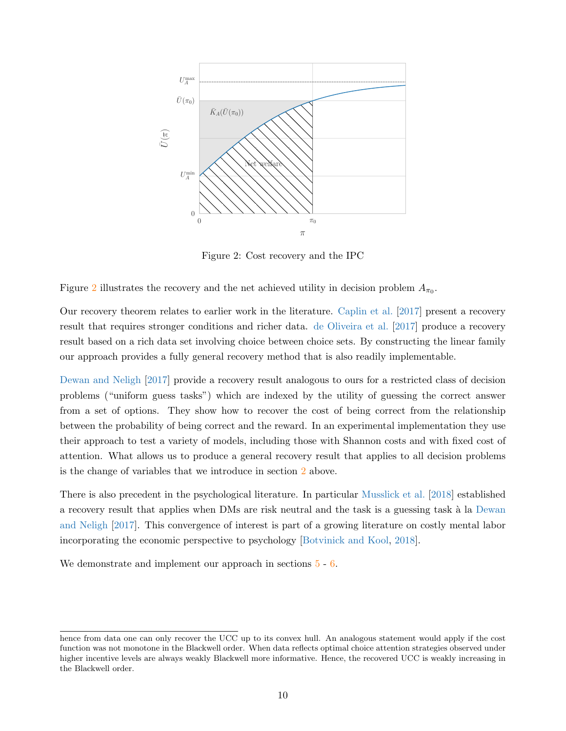<span id="page-9-0"></span>

Figure 2: Cost recovery and the IPC

Figure [2](#page-9-0) illustrates the recovery and the net achieved utility in decision problem  $A_{\pi_0}$ .

Our recovery theorem relates to earlier work in the literature. [Caplin et al.](#page-27-7) [\[2017\]](#page-27-7) present a recovery result that requires stronger conditions and richer data. [de Oliveira et al.](#page-27-6) [\[2017\]](#page-27-6) produce a recovery result based on a rich data set involving choice between choice sets. By constructing the linear family our approach provides a fully general recovery method that is also readily implementable.

[Dewan and Neligh](#page-27-13) [\[2017\]](#page-27-13) provide a recovery result analogous to ours for a restricted class of decision problems ("uniform guess tasks") which are indexed by the utility of guessing the correct answer from a set of options. They show how to recover the cost of being correct from the relationship between the probability of being correct and the reward. In an experimental implementation they use their approach to test a variety of models, including those with Shannon costs and with fixed cost of attention. What allows us to produce a general recovery result that applies to all decision problems is the change of variables that we introduce in section [2](#page-3-0) above.

There is also precedent in the psychological literature. In particular [Musslick et al.](#page-28-5) [\[2018\]](#page-28-5) established a recovery result that applies when DMs are risk neutral and the task is a guessing task à la [Dewan](#page-27-13) [and Neligh](#page-27-13) [\[2017\]](#page-27-13). This convergence of interest is part of a growing literature on costly mental labor incorporating the economic perspective to psychology [\[Botvinick and Kool,](#page-27-5) [2018\]](#page-27-5).

We demonstrate and implement our approach in sections  $5 - 6$  $5 - 6$ .

hence from data one can only recover the UCC up to its convex hull. An analogous statement would apply if the cost function was not monotone in the Blackwell order. When data reflects optimal choice attention strategies observed under higher incentive levels are always weakly Blackwell more informative. Hence, the recovered UCC is weakly increasing in the Blackwell order.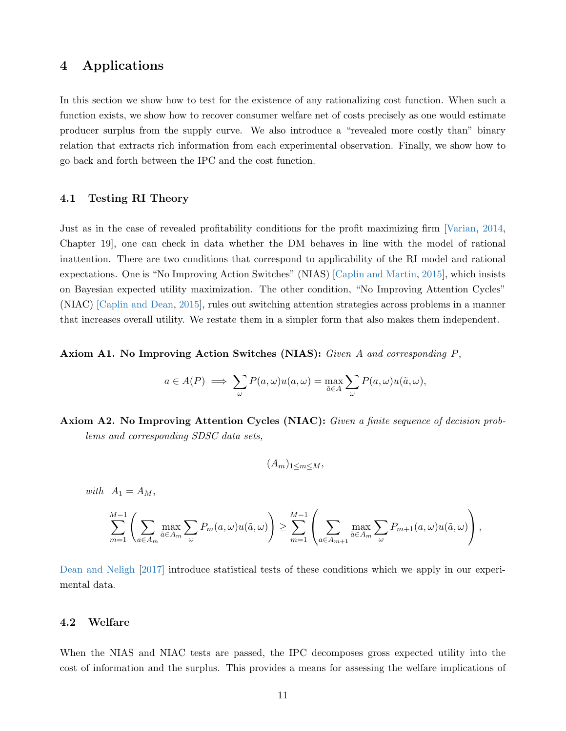# <span id="page-10-0"></span>4 Applications

In this section we show how to test for the existence of any rationalizing cost function. When such a function exists, we show how to recover consumer welfare net of costs precisely as one would estimate producer surplus from the supply curve. We also introduce a "revealed more costly than" binary relation that extracts rich information from each experimental observation. Finally, we show how to go back and forth between the IPC and the cost function.

#### 4.1 Testing RI Theory

Just as in the case of revealed profitability conditions for the profit maximizing firm [\[Varian,](#page-28-0) [2014,](#page-28-0) Chapter 19], one can check in data whether the DM behaves in line with the model of rational inattention. There are two conditions that correspond to applicability of the RI model and rational expectations. One is "No Improving Action Switches" (NIAS) [\[Caplin and Martin,](#page-27-8) [2015\]](#page-27-8), which insists on Bayesian expected utility maximization. The other condition, "No Improving Attention Cycles" (NIAC) [\[Caplin and Dean,](#page-27-9) [2015\]](#page-27-9), rules out switching attention strategies across problems in a manner that increases overall utility. We restate them in a simpler form that also makes them independent.

#### Axiom A1. No Improving Action Switches (NIAS): Given A and corresponding P,

$$
a \in A(P) \implies \sum_{\omega} P(a, \omega) u(a, \omega) = \max_{\tilde{a} \in A} \sum_{\omega} P(a, \omega) u(\tilde{a}, \omega),
$$

Axiom A2. No Improving Attention Cycles (NIAC): Given a finite sequence of decision problems and corresponding SDSC data sets,

$$
(A_m)_{1\leq m\leq M},
$$

with  $A_1 = A_M$ ,

$$
\sum_{m=1}^{M-1} \left( \sum_{a \in A_m} \max_{\tilde{a} \in A_m} \sum_{\omega} P_m(a, \omega) u(\tilde{a}, \omega) \right) \geq \sum_{m=1}^{M-1} \left( \sum_{a \in A_{m+1}} \max_{\tilde{a} \in A_m} \sum_{\omega} P_{m+1}(a, \omega) u(\tilde{a}, \omega) \right),
$$

[Dean and Neligh](#page-27-14) [\[2017\]](#page-27-14) introduce statistical tests of these conditions which we apply in our experimental data.

#### 4.2 Welfare

When the NIAS and NIAC tests are passed, the IPC decomposes gross expected utility into the cost of information and the surplus. This provides a means for assessing the welfare implications of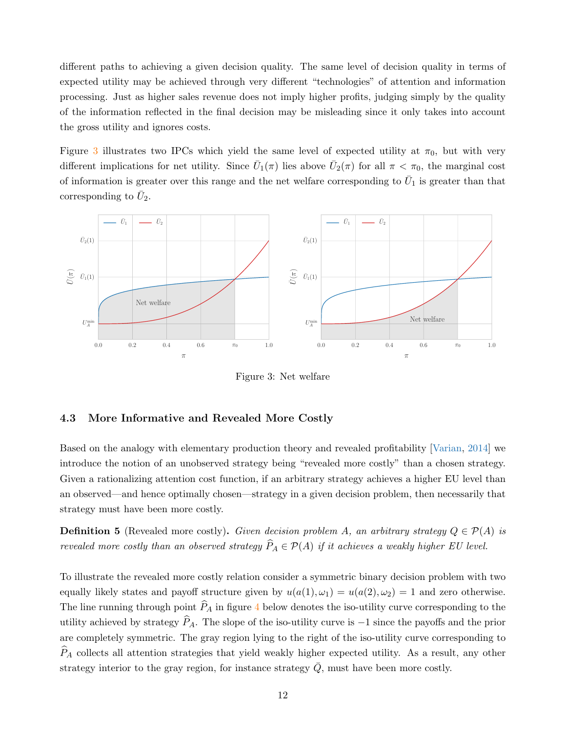different paths to achieving a given decision quality. The same level of decision quality in terms of expected utility may be achieved through very different "technologies" of attention and information processing. Just as higher sales revenue does not imply higher profits, judging simply by the quality of the information reflected in the final decision may be misleading since it only takes into account the gross utility and ignores costs.

Figure [3](#page-11-0) illustrates two IPCs which yield the same level of expected utility at  $\pi_0$ , but with very different implications for net utility. Since  $\bar{U}_1(\pi)$  lies above  $\bar{U}_2(\pi)$  for all  $\pi < \pi_0$ , the marginal cost of information is greater over this range and the net welfare corresponding to  $\bar{U}_1$  is greater than that corresponding to  $\bar{U}_2$ .

<span id="page-11-0"></span>

Figure 3: Net welfare

#### 4.3 More Informative and Revealed More Costly

Based on the analogy with elementary production theory and revealed profitability [\[Varian,](#page-28-0) [2014\]](#page-28-0) we introduce the notion of an unobserved strategy being "revealed more costly" than a chosen strategy. Given a rationalizing attention cost function, if an arbitrary strategy achieves a higher EU level than an observed—and hence optimally chosen—strategy in a given decision problem, then necessarily that strategy must have been more costly.

**Definition 5** (Revealed more costly). Given decision problem A, an arbitrary strategy  $Q \in \mathcal{P}(A)$  is revealed more costly than an observed strategy  $\widehat{P}_A \in \mathcal{P}(A)$  if it achieves a weakly higher EU level.

To illustrate the revealed more costly relation consider a symmetric binary decision problem with two equally likely states and payoff structure given by  $u(a(1), \omega_1) = u(a(2), \omega_2) = 1$  and zero otherwise. The line running through point  $\widehat{P}_A$  in figure [4](#page-12-0) below denotes the iso-utility curve corresponding to the utility achieved by strategy  $\widehat{P}_A$ . The slope of the iso-utility curve is −1 since the payoffs and the prior are completely symmetric. The gray region lying to the right of the iso-utility curve corresponding to  $P_A$  collects all attention strategies that yield weakly higher expected utility. As a result, any other strategy interior to the gray region, for instance strategy  $\overline{Q}$ , must have been more costly.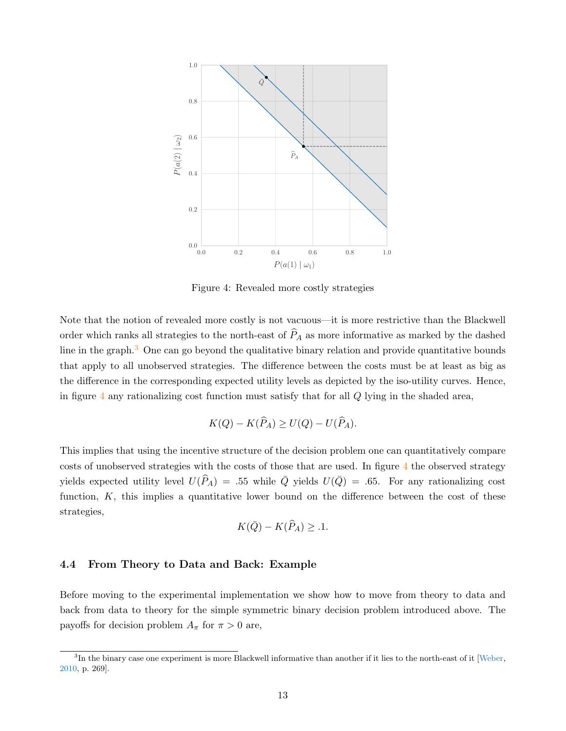<span id="page-12-0"></span>

Figure 4: Revealed more costly strategies

Note that the notion of revealed more costly is not vacuous—it is more restrictive than the Blackwell order which ranks all strategies to the north-east of  $\widehat{P}_A$  as more informative as marked by the dashed line in the graph.<sup>[3](#page-0-0)</sup> One can go beyond the qualitative binary relation and provide quantitative bounds that apply to all unobserved strategies. The difference between the costs must be at least as big as the difference in the corresponding expected utility levels as depicted by the iso-utility curves. Hence, in figure [4](#page-12-0) any rationalizing cost function must satisfy that for all  $Q$  lying in the shaded area,

$$
K(Q) - K(\widehat{P}_A) \ge U(Q) - U(\widehat{P}_A).
$$

This implies that using the incentive structure of the decision problem one can quantitatively compare costs of unobserved strategies with the costs of those that are used. In figure [4](#page-12-0) the observed strategy yields expected utility level  $U(\widehat{P}_A) = .55$  while  $\overline{Q}$  yields  $U(\overline{Q}) = .65$ . For any rationalizing cost function,  $K$ , this implies a quantitative lower bound on the difference between the cost of these strategies,

$$
K(\bar{Q}) - K(\widehat{P}_A) \geq .1.
$$

### 4.4 From Theory to Data and Back: Example

Before moving to the experimental implementation we show how to move from theory to data and back from data to theory for the simple symmetric binary decision problem introduced above. The payoffs for decision problem  $A_{\pi}$  for  $\pi > 0$  are,

 ${}^{3}$ In the binary case one experiment is more Blackwell informative than another if it lies to the north-east of it [\[Weber,](#page-28-13) [2010,](#page-28-13) p. 269].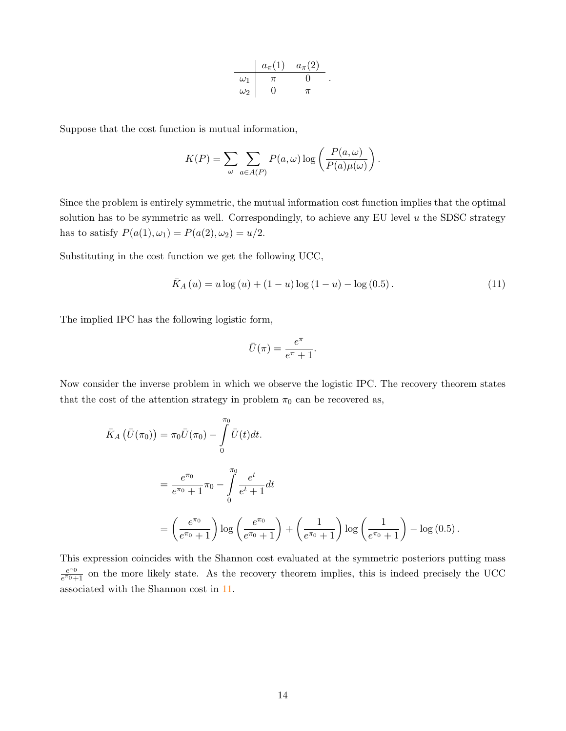$$
\begin{array}{c|cc}\n & a_{\pi}(1) & a_{\pi}(2) \\
\hline\n\omega_1 & \pi & 0 \\
\omega_2 & 0 & \pi\n\end{array}
$$

.

Suppose that the cost function is mutual information,

$$
K(P) = \sum_{\omega} \sum_{a \in A(P)} P(a, \omega) \log \left( \frac{P(a, \omega)}{P(a) \mu(\omega)} \right).
$$

Since the problem is entirely symmetric, the mutual information cost function implies that the optimal solution has to be symmetric as well. Correspondingly, to achieve any EU level  $u$  the SDSC strategy has to satisfy  $P(a(1), \omega_1) = P(a(2), \omega_2) = u/2$ .

Substituting in the cost function we get the following UCC,

<span id="page-13-0"></span>
$$
\bar{K}_A(u) = u \log(u) + (1 - u) \log(1 - u) - \log(0.5). \tag{11}
$$

The implied IPC has the following logistic form,

$$
\bar{U}(\pi) = \frac{e^{\pi}}{e^{\pi} + 1}.
$$

Now consider the inverse problem in which we observe the logistic IPC. The recovery theorem states that the cost of the attention strategy in problem  $\pi_0$  can be recovered as,

$$
\bar{K}_A (\bar{U}(\pi_0)) = \pi_0 \bar{U}(\pi_0) - \int_0^{\pi_0} \bar{U}(t) dt.
$$
\n
$$
= \frac{e^{\pi_0}}{e^{\pi_0} + 1} \pi_0 - \int_0^{\pi_0} \frac{e^t}{e^t + 1} dt
$$
\n
$$
= \left(\frac{e^{\pi_0}}{e^{\pi_0} + 1}\right) \log\left(\frac{e^{\pi_0}}{e^{\pi_0} + 1}\right) + \left(\frac{1}{e^{\pi_0} + 1}\right) \log\left(\frac{1}{e^{\pi_0} + 1}\right) - \log(0.5).
$$

This expression coincides with the Shannon cost evaluated at the symmetric posteriors putting mass  $e^{\pi}$ <sup>0</sup>  $\frac{e^{n_0}}{e^{n_0}+1}$  on the more likely state. As the recovery theorem implies, this is indeed precisely the UCC associated with the Shannon cost in [11.](#page-13-0)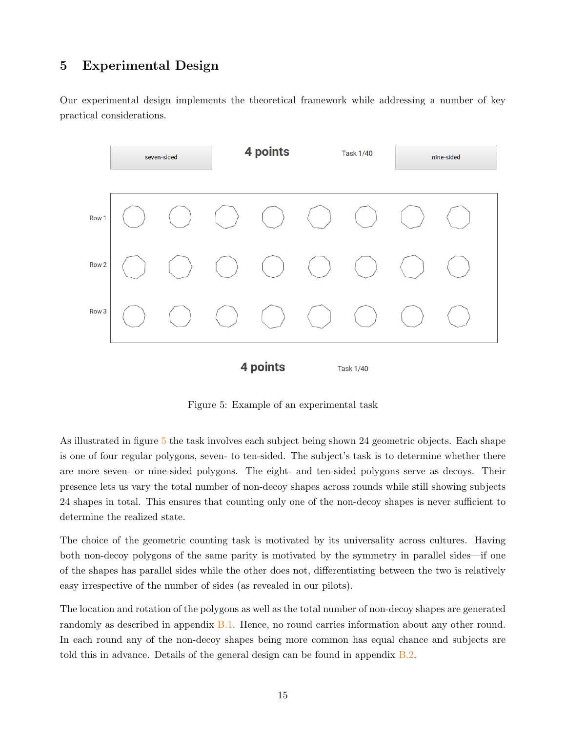# <span id="page-14-0"></span>5 Experimental Design

Our experimental design implements the theoretical framework while addressing a number of key practical considerations.

<span id="page-14-1"></span>

Figure 5: Example of an experimental task

As illustrated in figure [5](#page-14-1) the task involves each subject being shown 24 geometric objects. Each shape is one of four regular polygons, seven- to ten-sided. The subject's task is to determine whether there are more seven- or nine-sided polygons. The eight- and ten-sided polygons serve as decoys. Their presence lets us vary the total number of non-decoy shapes across rounds while still showing subjects 24 shapes in total. This ensures that counting only one of the non-decoy shapes is never sufficient to determine the realized state.

The choice of the geometric counting task is motivated by its universality across cultures. Having both non-decoy polygons of the same parity is motivated by the symmetry in parallel sides—if one of the shapes has parallel sides while the other does not, differentiating between the two is relatively easy irrespective of the number of sides (as revealed in our pilots).

The location and rotation of the polygons as well as the total number of non-decoy shapes are generated randomly as described in appendix [B.1.](#page-31-0) Hence, no round carries information about any other round. In each round any of the non-decoy shapes being more common has equal chance and subjects are told this in advance. Details of the general design can be found in appendix  $B.2$ .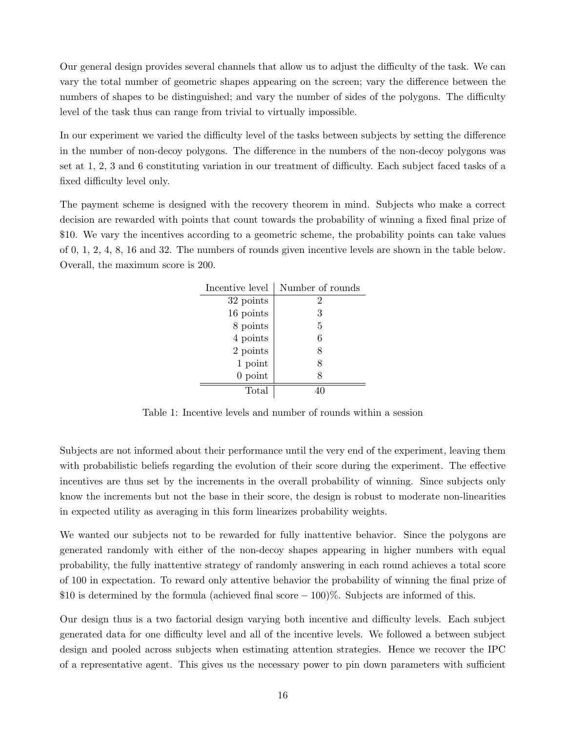Our general design provides several channels that allow us to adjust the difficulty of the task. We can vary the total number of geometric shapes appearing on the screen; vary the difference between the numbers of shapes to be distinguished; and vary the number of sides of the polygons. The difficulty level of the task thus can range from trivial to virtually impossible.

In our experiment we varied the difficulty level of the tasks between subjects by setting the difference in the number of non-decoy polygons. The difference in the numbers of the non-decoy polygons was set at 1, 2, 3 and 6 constituting variation in our treatment of difficulty. Each subject faced tasks of a fixed difficulty level only.

The payment scheme is designed with the recovery theorem in mind. Subjects who make a correct decision are rewarded with points that count towards the probability of winning a fixed final prize of \$10. We vary the incentives according to a geometric scheme, the probability points can take values of 0, 1, 2, 4, 8, 16 and 32. The numbers of rounds given incentive levels are shown in the table below. Overall, the maximum score is 200.

| Incentive level | Number of rounds |
|-----------------|------------------|
| 32 points       | 2                |
| 16 points       | 3                |
| 8 points        | 5                |
| 4 points        | 6                |
| 2 points        | 8                |
| 1 point         | 8                |
| $0$ point       | 8                |
| Total           |                  |

Table 1: Incentive levels and number of rounds within a session

Subjects are not informed about their performance until the very end of the experiment, leaving them with probabilistic beliefs regarding the evolution of their score during the experiment. The effective incentives are thus set by the increments in the overall probability of winning. Since subjects only know the increments but not the base in their score, the design is robust to moderate non-linearities in expected utility as averaging in this form linearizes probability weights.

We wanted our subjects not to be rewarded for fully inattentive behavior. Since the polygons are generated randomly with either of the non-decoy shapes appearing in higher numbers with equal probability, the fully inattentive strategy of randomly answering in each round achieves a total score of 100 in expectation. To reward only attentive behavior the probability of winning the final prize of \$10 is determined by the formula (achieved final score  $-100\%$ ). Subjects are informed of this.

Our design thus is a two factorial design varying both incentive and difficulty levels. Each subject generated data for one difficulty level and all of the incentive levels. We followed a between subject design and pooled across subjects when estimating attention strategies. Hence we recover the IPC of a representative agent. This gives us the necessary power to pin down parameters with sufficient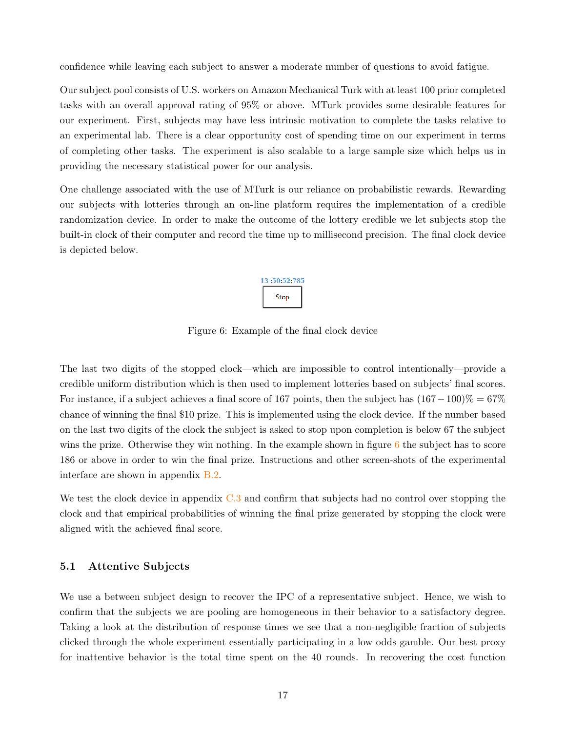confidence while leaving each subject to answer a moderate number of questions to avoid fatigue.

Our subject pool consists of U.S. workers on Amazon Mechanical Turk with at least 100 prior completed tasks with an overall approval rating of 95% or above. MTurk provides some desirable features for our experiment. First, subjects may have less intrinsic motivation to complete the tasks relative to an experimental lab. There is a clear opportunity cost of spending time on our experiment in terms of completing other tasks. The experiment is also scalable to a large sample size which helps us in providing the necessary statistical power for our analysis.

<span id="page-16-0"></span>One challenge associated with the use of MTurk is our reliance on probabilistic rewards. Rewarding our subjects with lotteries through an on-line platform requires the implementation of a credible randomization device. In order to make the outcome of the lottery credible we let subjects stop the built-in clock of their computer and record the time up to millisecond precision. The final clock device is depicted below.

# 13:50:52:785 **Stop**

Figure 6: Example of the final clock device

The last two digits of the stopped clock—which are impossible to control intentionally—provide a credible uniform distribution which is then used to implement lotteries based on subjects' final scores. For instance, if a subject achieves a final score of 167 points, then the subject has  $(167 - 100)\% = 67\%$ chance of winning the final \$10 prize. This is implemented using the clock device. If the number based on the last two digits of the clock the subject is asked to stop upon completion is below 67 the subject wins the prize. Otherwise they win nothing. In the example shown in figure  $6$  the subject has to score 186 or above in order to win the final prize. Instructions and other screen-shots of the experimental interface are shown in appendix [B.2.](#page-32-0)

We test the clock device in appendix  $C.3$  and confirm that subjects had no control over stopping the clock and that empirical probabilities of winning the final prize generated by stopping the clock were aligned with the achieved final score.

### 5.1 Attentive Subjects

We use a between subject design to recover the IPC of a representative subject. Hence, we wish to confirm that the subjects we are pooling are homogeneous in their behavior to a satisfactory degree. Taking a look at the distribution of response times we see that a non-negligible fraction of subjects clicked through the whole experiment essentially participating in a low odds gamble. Our best proxy for inattentive behavior is the total time spent on the 40 rounds. In recovering the cost function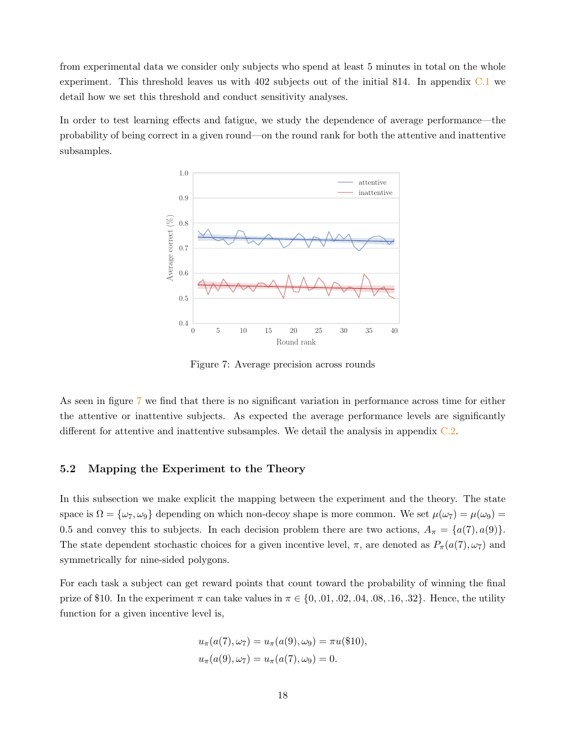from experimental data we consider only subjects who spend at least 5 minutes in total on the whole experiment. This threshold leaves us with 402 subjects out of the initial 814. In appendix [C.1](#page-36-0) we detail how we set this threshold and conduct sensitivity analyses.

<span id="page-17-0"></span>In order to test learning effects and fatigue, we study the dependence of average performance—the probability of being correct in a given round—on the round rank for both the attentive and inattentive subsamples.



Figure 7: Average precision across rounds

As seen in figure [7](#page-17-0) we find that there is no significant variation in performance across time for either the attentive or inattentive subjects. As expected the average performance levels are significantly different for attentive and inattentive subsamples. We detail the analysis in appendix [C.2.](#page-39-0)

## 5.2 Mapping the Experiment to the Theory

In this subsection we make explicit the mapping between the experiment and the theory. The state space is  $\Omega = {\omega_7, \omega_9}$  depending on which non-decoy shape is more common. We set  $\mu(\omega_7) = \mu(\omega_9)$ 0.5 and convey this to subjects. In each decision problem there are two actions,  $A_{\pi} = \{a(7), a(9)\}.$ The state dependent stochastic choices for a given incentive level,  $\pi$ , are denoted as  $P_{\pi}(a(7), \omega_7)$  and symmetrically for nine-sided polygons.

For each task a subject can get reward points that count toward the probability of winning the final prize of \$10. In the experiment  $\pi$  can take values in  $\pi \in \{0, .01, .02, .04, .08, .16, .32\}$ . Hence, the utility function for a given incentive level is,

$$
u_{\pi}(a(7), \omega_7) = u_{\pi}(a(9), \omega_9) = \pi u(\$10),
$$
  

$$
u_{\pi}(a(9), \omega_7) = u_{\pi}(a(7), \omega_9) = 0.
$$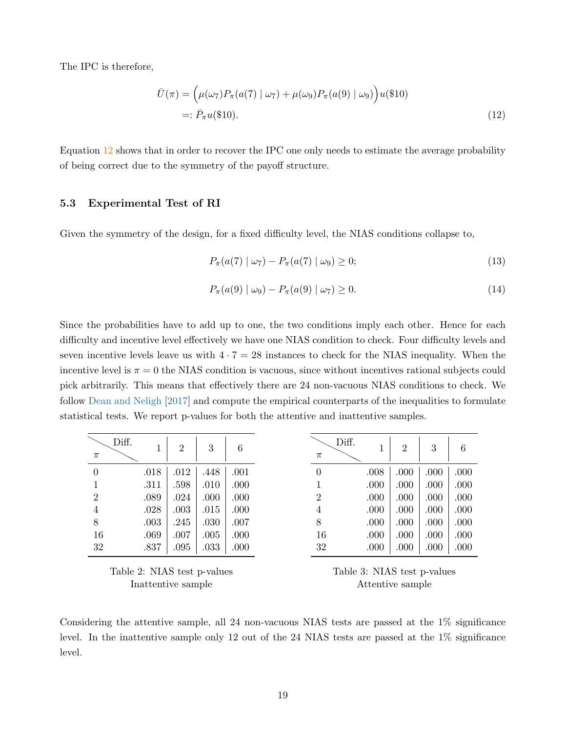The IPC is therefore,

$$
\bar{U}(\pi) = (\mu(\omega_7)P_\pi(a(7) | \omega_7) + \mu(\omega_9)P_\pi(a(9) | \omega_9))u(\$10)
$$
  
=:  $\bar{P}_\pi u(\$10).$  (12)

Equation [12](#page-18-0) shows that in order to recover the IPC one only needs to estimate the average probability of being correct due to the symmetry of the payoff structure.

## 5.3 Experimental Test of RI

Given the symmetry of the design, for a fixed difficulty level, the NIAS conditions collapse to,

<span id="page-18-0"></span>
$$
P_{\pi}(a(7) \mid \omega_7) - P_{\pi}(a(7) \mid \omega_9) \ge 0; \tag{13}
$$

$$
P_{\pi}(a(9) \mid \omega_9) - P_{\pi}(a(9) \mid \omega_7) \ge 0. \tag{14}
$$

Since the probabilities have to add up to one, the two conditions imply each other. Hence for each difficulty and incentive level effectively we have one NIAS condition to check. Four difficulty levels and seven incentive levels leave us with  $4 \cdot 7 = 28$  instances to check for the NIAS inequality. When the incentive level is  $\pi = 0$  the NIAS condition is vacuous, since without incentives rational subjects could pick arbitrarily. This means that effectively there are 24 non-vacuous NIAS conditions to check. We follow [Dean and Neligh](#page-27-14) [\[2017\]](#page-27-14) and compute the empirical counterparts of the inequalities to formulate statistical tests. We report p-values for both the attentive and inattentive samples.

| Diff. | Τ    | $\overline{2}$ | 3    | 6    | $\pi$          | Diff. | $\overline{2}$ | 3    |  |
|-------|------|----------------|------|------|----------------|-------|----------------|------|--|
|       | .018 | .012           | .448 | .001 | $\overline{0}$ | .008  | .000           | .000 |  |
|       | .311 | .598           | .010 | .000 |                | .000  | .000           | .000 |  |
|       | .089 | .024           | .000 | .000 | 2              | .000  | .000           | .000 |  |
|       | .028 | .003           | .015 | .000 | 4              | .000  | .000           | .000 |  |
|       | .003 | .245           | .030 | .007 | 8              | .000  | .000           | .000 |  |
| 16    | .069 | .007           | .005 | .000 | 16             | .000  | .000           | .000 |  |
| 32    | .837 | .095           | .033 | .000 | 32             | .000  | .000           | .000 |  |

Table 2: NIAS test p-values Inattentive sample

Table 3: NIAS test p-values Attentive sample

Considering the attentive sample, all 24 non-vacuous NIAS tests are passed at the 1% significance level. In the inattentive sample only 12 out of the 24 NIAS tests are passed at the 1% significance level.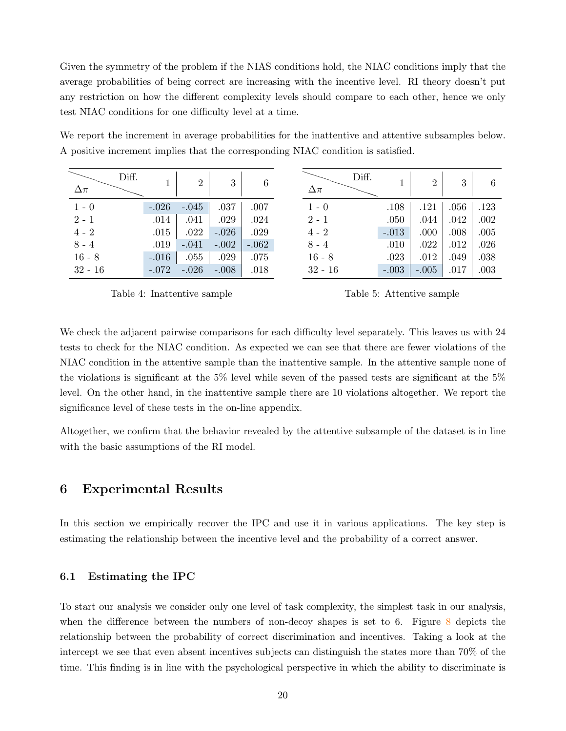Given the symmetry of the problem if the NIAS conditions hold, the NIAC conditions imply that the average probabilities of being correct are increasing with the incentive level. RI theory doesn't put any restriction on how the different complexity levels should compare to each other, hence we only test NIAC conditions for one difficulty level at a time.

| Diff.<br>$\Delta \pi$ |         | $\overline{2}$ | 3       | 6       | $\Delta \pi$ | Diff.   | $\Omega$ | 3    | 6    |
|-----------------------|---------|----------------|---------|---------|--------------|---------|----------|------|------|
| $1 - 0$               | $-.026$ | $-.045$        | .037    | .007    | $1 - 0$      | .108    | .121     | .056 | .123 |
| $2 - 1$               | .014    | .041           | .029    | .024    | $2 - 1$      | .050    | .044     | .042 | .002 |
| $4 - 2$               | .015    | .022           | $-.026$ | .029    | $4 - 2$      | $-.013$ | .000     | .008 | .005 |
| $8 - 4$               | .019    | $-.041$        | $-.002$ | $-.062$ | $8 - 4$      | .010    | .022     | .012 | .026 |
| $16 - 8$              | $-.016$ | .055           | .029    | .075    | $16 - 8$     | .023    | .012     | .049 | .038 |
| $32 - 16$             | $-.072$ | $-.026$        | $-.008$ | .018    | $32 - 16$    | $-.003$ | $-.005$  | .017 | .003 |

We report the increment in average probabilities for the inattentive and attentive subsamples below. A positive increment implies that the corresponding NIAC condition is satisfied.

Table 4: Inattentive sample

Table 5: Attentive sample

We check the adjacent pairwise comparisons for each difficulty level separately. This leaves us with 24 tests to check for the NIAC condition. As expected we can see that there are fewer violations of the NIAC condition in the attentive sample than the inattentive sample. In the attentive sample none of the violations is significant at the 5% level while seven of the passed tests are significant at the 5% level. On the other hand, in the inattentive sample there are 10 violations altogether. We report the significance level of these tests in the on-line appendix.

Altogether, we confirm that the behavior revealed by the attentive subsample of the dataset is in line with the basic assumptions of the RI model.

# <span id="page-19-0"></span>6 Experimental Results

In this section we empirically recover the IPC and use it in various applications. The key step is estimating the relationship between the incentive level and the probability of a correct answer.

### 6.1 Estimating the IPC

To start our analysis we consider only one level of task complexity, the simplest task in our analysis, when the difference between the numbers of non-decoy shapes is set to 6. Figure  $8$  depicts the relationship between the probability of correct discrimination and incentives. Taking a look at the intercept we see that even absent incentives subjects can distinguish the states more than 70% of the time. This finding is in line with the psychological perspective in which the ability to discriminate is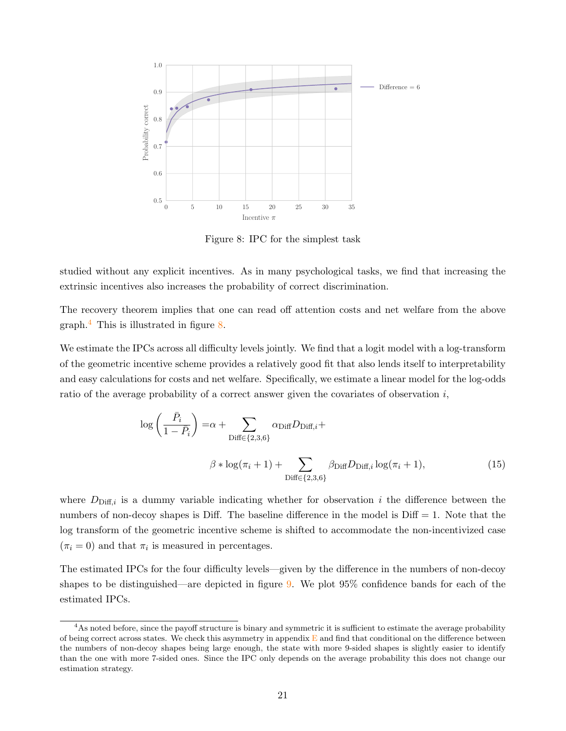<span id="page-20-0"></span>

Figure 8: IPC for the simplest task

studied without any explicit incentives. As in many psychological tasks, we find that increasing the extrinsic incentives also increases the probability of correct discrimination.

The recovery theorem implies that one can read off attention costs and net welfare from the above graph.<sup>[4](#page-0-0)</sup> This is illustrated in figure [8.](#page-20-0)

We estimate the IPCs across all difficulty levels jointly. We find that a logit model with a log-transform of the geometric incentive scheme provides a relatively good fit that also lends itself to interpretability and easy calculations for costs and net welfare. Specifically, we estimate a linear model for the log-odds ratio of the average probability of a correct answer given the covariates of observation  $i$ ,

$$
\log\left(\frac{\bar{P}_i}{1-\bar{P}_i}\right) = \alpha + \sum_{\text{Diff}\in\{2,3,6\}} \alpha_{\text{Diff}} D_{\text{Diff},i} +
$$
  

$$
\beta * \log(\pi_i + 1) + \sum_{\text{Diff}\in\{2,3,6\}} \beta_{\text{Diff}} D_{\text{Diff},i} \log(\pi_i + 1),
$$
 (15)

where  $D_{\text{Diff},i}$  is a dummy variable indicating whether for observation i the difference between the numbers of non-decoy shapes is Diff. The baseline difference in the model is  $\text{Diff} = 1$ . Note that the log transform of the geometric incentive scheme is shifted to accommodate the non-incentivized case  $(\pi_i = 0)$  and that  $\pi_i$  is measured in percentages.

The estimated IPCs for the four difficulty levels—given by the difference in the numbers of non-decoy shapes to be distinguished—are depicted in figure [9.](#page-21-0) We plot 95% confidence bands for each of the estimated IPCs.

<sup>&</sup>lt;sup>4</sup>As noted before, since the payoff structure is binary and symmetric it is sufficient to estimate the average probability of being correct across states. We check this asymmetry in appendix  $E$  and find that conditional on the difference between the numbers of non-decoy shapes being large enough, the state with more 9-sided shapes is slightly easier to identify than the one with more 7-sided ones. Since the IPC only depends on the average probability this does not change our estimation strategy.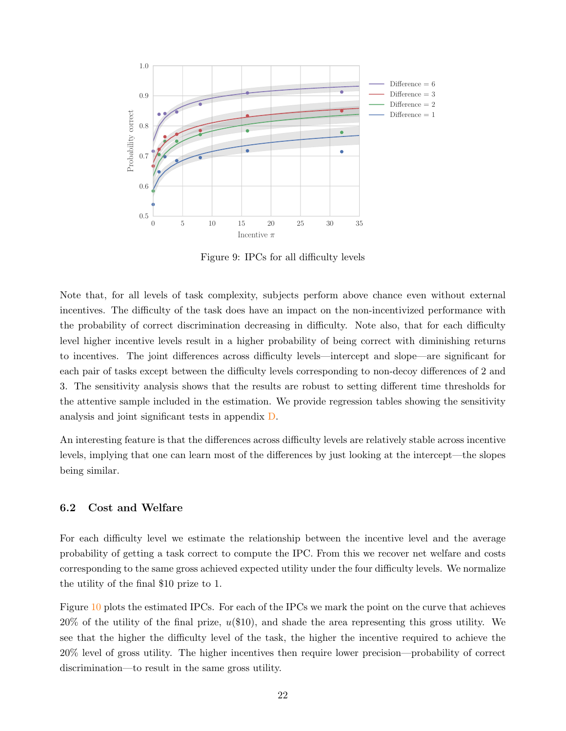<span id="page-21-0"></span>

Figure 9: IPCs for all difficulty levels

Note that, for all levels of task complexity, subjects perform above chance even without external incentives. The difficulty of the task does have an impact on the non-incentivized performance with the probability of correct discrimination decreasing in difficulty. Note also, that for each difficulty level higher incentive levels result in a higher probability of being correct with diminishing returns to incentives. The joint differences across difficulty levels—intercept and slope—are significant for each pair of tasks except between the difficulty levels corresponding to non-decoy differences of 2 and 3. The sensitivity analysis shows that the results are robust to setting different time thresholds for the attentive sample included in the estimation. We provide regression tables showing the sensitivity analysis and joint significant tests in appendix [D.](#page-41-0)

An interesting feature is that the differences across difficulty levels are relatively stable across incentive levels, implying that one can learn most of the differences by just looking at the intercept—the slopes being similar.

### 6.2 Cost and Welfare

For each difficulty level we estimate the relationship between the incentive level and the average probability of getting a task correct to compute the IPC. From this we recover net welfare and costs corresponding to the same gross achieved expected utility under the four difficulty levels. We normalize the utility of the final \$10 prize to 1.

Figure [10](#page-22-0) plots the estimated IPCs. For each of the IPCs we mark the point on the curve that achieves  $20\%$  of the utility of the final prize,  $u(\$10)$ , and shade the area representing this gross utility. We see that the higher the difficulty level of the task, the higher the incentive required to achieve the 20% level of gross utility. The higher incentives then require lower precision—probability of correct discrimination—to result in the same gross utility.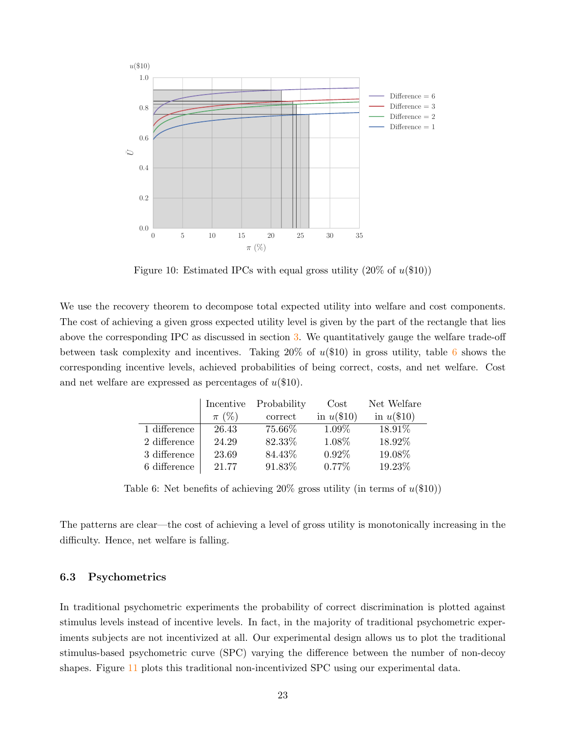<span id="page-22-0"></span>

Figure 10: Estimated IPCs with equal gross utility  $(20\% \text{ of } u(\$10))$ 

We use the recovery theorem to decompose total expected utility into welfare and cost components. The cost of achieving a given gross expected utility level is given by the part of the rectangle that lies above the corresponding IPC as discussed in section [3.](#page-5-0) We quantitatively gauge the welfare trade-off between task complexity and incentives. Taking  $20\%$  of  $u(\$10)$  in gross utility, table [6](#page-22-1) shows the corresponding incentive levels, achieved probabilities of being correct, costs, and net welfare. Cost and net welfare are expressed as percentages of  $u(\$10)$ .

<span id="page-22-1"></span>

|              | Incentive | Probability | Cost         | Net Welfare  |
|--------------|-----------|-------------|--------------|--------------|
|              | $\pi$ (%) | correct     | in $u(\$10)$ | in $u(\$10)$ |
| 1 difference | 26.43     | 75.66%      | 1.09%        | 18.91\%      |
| 2 difference | 24.29     | 82.33%      | 1.08%        | 18.92%       |
| 3 difference | 23.69     | 84.43%      | 0.92%        | 19.08%       |
| 6 difference | 21.77     | 91.83%      | $0.77\%$     | 19.23%       |

Table 6: Net benefits of achieving  $20\%$  gross utility (in terms of  $u(\$10)$ )

The patterns are clear—the cost of achieving a level of gross utility is monotonically increasing in the difficulty. Hence, net welfare is falling.

#### 6.3 Psychometrics

In traditional psychometric experiments the probability of correct discrimination is plotted against stimulus levels instead of incentive levels. In fact, in the majority of traditional psychometric experiments subjects are not incentivized at all. Our experimental design allows us to plot the traditional stimulus-based psychometric curve (SPC) varying the difference between the number of non-decoy shapes. Figure [11](#page-23-0) plots this traditional non-incentivized SPC using our experimental data.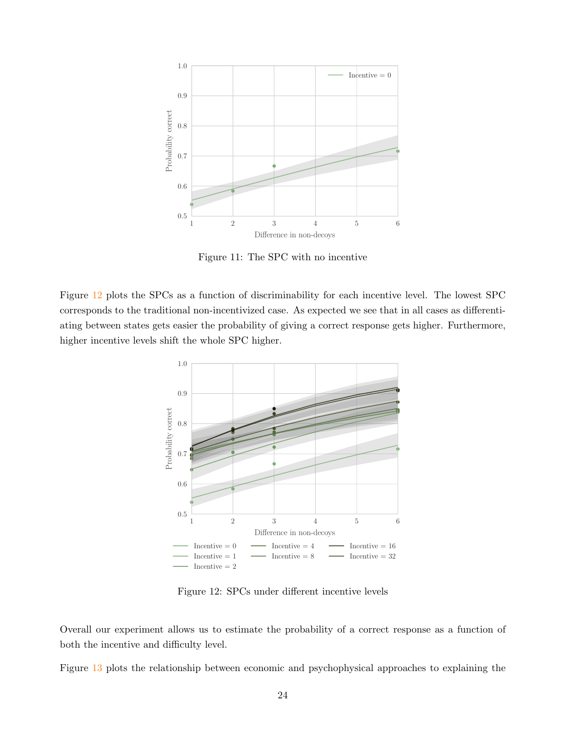<span id="page-23-0"></span>

Figure 11: The SPC with no incentive

<span id="page-23-1"></span>Figure [12](#page-23-1) plots the SPCs as a function of discriminability for each incentive level. The lowest SPC corresponds to the traditional non-incentivized case. As expected we see that in all cases as differentiating between states gets easier the probability of giving a correct response gets higher. Furthermore, higher incentive levels shift the whole SPC higher.



Figure 12: SPCs under different incentive levels

Overall our experiment allows us to estimate the probability of a correct response as a function of both the incentive and difficulty level.

Figure [13](#page-24-0) plots the relationship between economic and psychophysical approaches to explaining the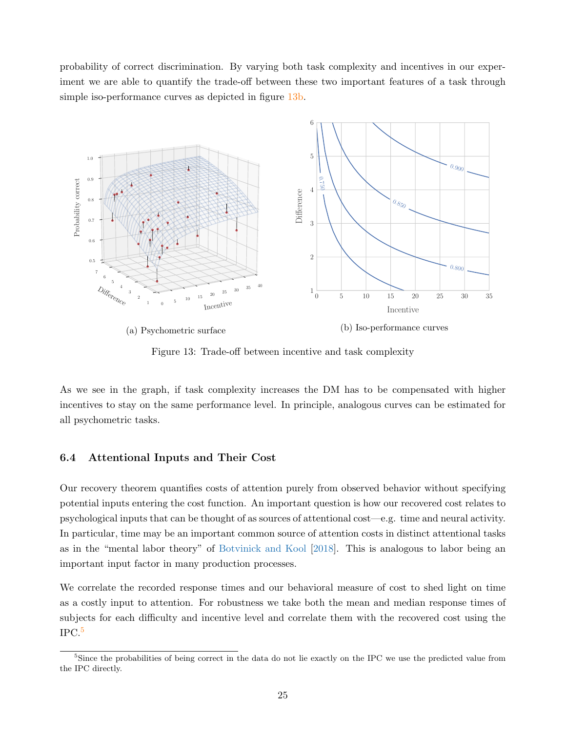probability of correct discrimination. By varying both task complexity and incentives in our experiment we are able to quantify the trade-off between these two important features of a task through simple iso-performance curves as depicted in figure [13b.](#page-24-0)

<span id="page-24-0"></span>

Figure 13: Trade-off between incentive and task complexity

As we see in the graph, if task complexity increases the DM has to be compensated with higher incentives to stay on the same performance level. In principle, analogous curves can be estimated for all psychometric tasks.

#### 6.4 Attentional Inputs and Their Cost

Our recovery theorem quantifies costs of attention purely from observed behavior without specifying potential inputs entering the cost function. An important question is how our recovered cost relates to psychological inputs that can be thought of as sources of attentional cost—e.g. time and neural activity. In particular, time may be an important common source of attention costs in distinct attentional tasks as in the "mental labor theory" of [Botvinick and Kool](#page-27-5) [\[2018\]](#page-27-5). This is analogous to labor being an important input factor in many production processes.

We correlate the recorded response times and our behavioral measure of cost to shed light on time as a costly input to attention. For robustness we take both the mean and median response times of subjects for each difficulty and incentive level and correlate them with the recovered cost using the  $\rm IPC.^5$  $\rm IPC.^5$ 

<sup>&</sup>lt;sup>5</sup>Since the probabilities of being correct in the data do not lie exactly on the IPC we use the predicted value from the IPC directly.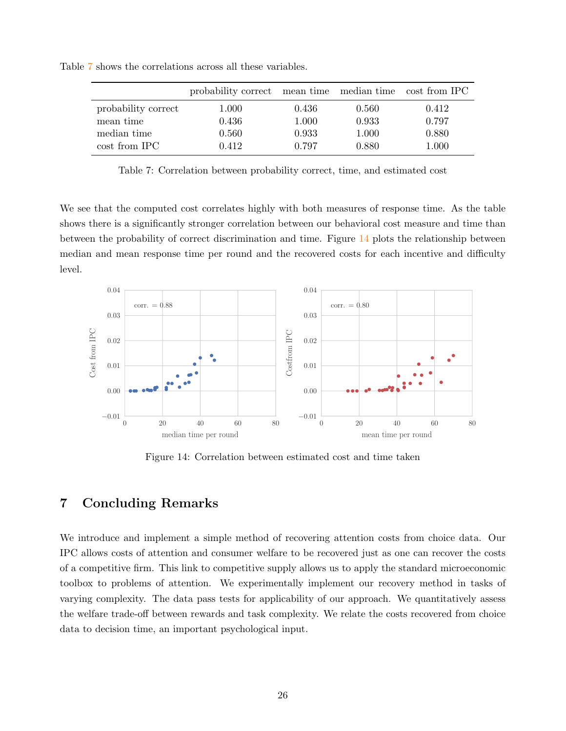|                     | probability correct mean time median time cost from IPC |       |       |       |
|---------------------|---------------------------------------------------------|-------|-------|-------|
| probability correct | 1.000                                                   | 0.436 | 0.560 | 0.412 |
| mean time           | 0.436                                                   | 1.000 | 0.933 | 0.797 |
| median time         | 0.560                                                   | 0.933 | 1.000 | 0.880 |
| cost from IPC       | 0.412                                                   | 0.797 | 0.880 | 1.000 |

<span id="page-25-1"></span>Table [7](#page-25-1) shows the correlations across all these variables.

Table 7: Correlation between probability correct, time, and estimated cost

We see that the computed cost correlates highly with both measures of response time. As the table shows there is a significantly stronger correlation between our behavioral cost measure and time than between the probability of correct discrimination and time. Figure [14](#page-25-2) plots the relationship between median and mean response time per round and the recovered costs for each incentive and difficulty level.

<span id="page-25-2"></span>

Figure 14: Correlation between estimated cost and time taken

# <span id="page-25-0"></span>7 Concluding Remarks

We introduce and implement a simple method of recovering attention costs from choice data. Our IPC allows costs of attention and consumer welfare to be recovered just as one can recover the costs of a competitive firm. This link to competitive supply allows us to apply the standard microeconomic toolbox to problems of attention. We experimentally implement our recovery method in tasks of varying complexity. The data pass tests for applicability of our approach. We quantitatively assess the welfare trade-off between rewards and task complexity. We relate the costs recovered from choice data to decision time, an important psychological input.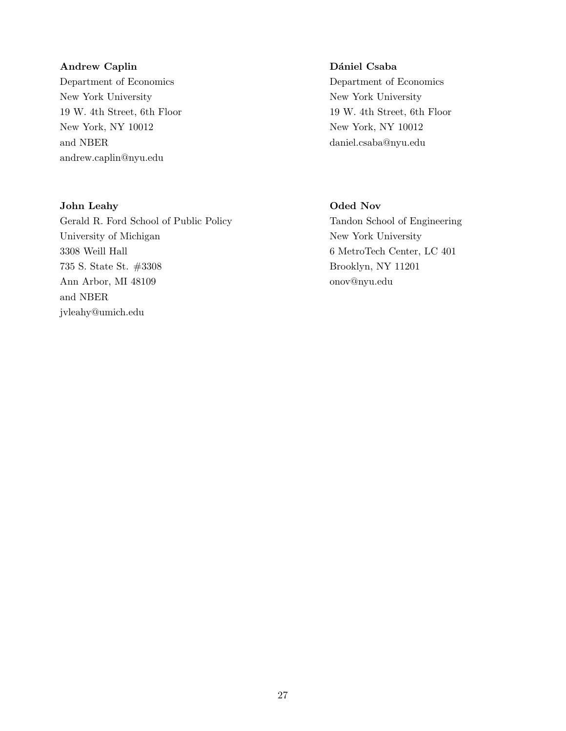## Andrew Caplin

Department of Economics New York University 19 W. 4th Street, 6th Floor New York, NY 10012 and NBER [andrew.caplin@nyu.edu](mailto: andrew.caplin@nyu.edu)

## John Leahy

Gerald R. Ford School of Public Policy University of Michigan 3308 Weill Hall 735 S. State St. #3308 Ann Arbor, MI 48109 and NBER [jvleahy@umich.edu](mailto: jvleahy@umich.edu)

## Dániel Csaba

Department of Economics New York University 19 W. 4th Street, 6th Floor New York, NY 10012 [daniel.csaba@nyu.edu](mailto:daniel.csaba@nyu.edu)

# Oded Nov

Tandon School of Engineering New York University 6 MetroTech Center, LC 401 Brooklyn, NY 11201 [onov@nyu.edu](mailto: onov@nyu.edu)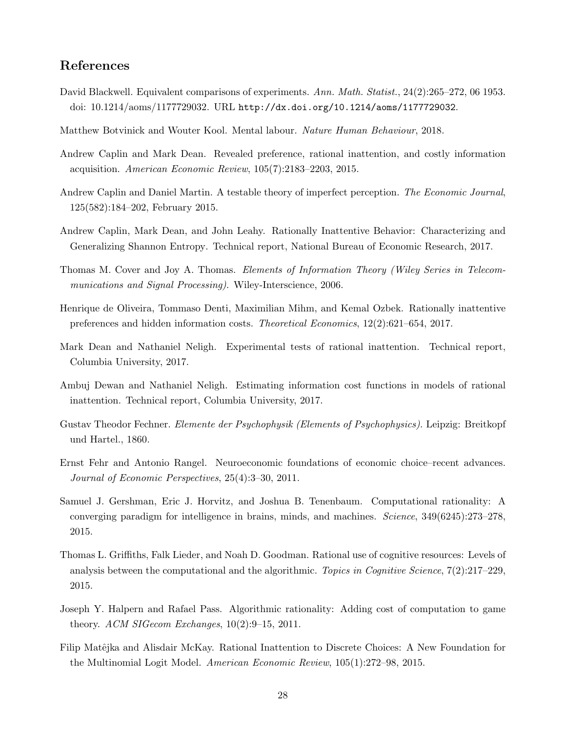# References

- <span id="page-27-11"></span>David Blackwell. Equivalent comparisons of experiments. Ann. Math. Statist., 24(2):265–272, 06 1953. doi: 10.1214/aoms/1177729032. URL <http://dx.doi.org/10.1214/aoms/1177729032>.
- <span id="page-27-5"></span>Matthew Botvinick and Wouter Kool. Mental labour. Nature Human Behaviour, 2018.
- <span id="page-27-9"></span>Andrew Caplin and Mark Dean. Revealed preference, rational inattention, and costly information acquisition. American Economic Review, 105(7):2183–2203, 2015.
- <span id="page-27-8"></span>Andrew Caplin and Daniel Martin. A testable theory of imperfect perception. The Economic Journal, 125(582):184–202, February 2015.
- <span id="page-27-7"></span>Andrew Caplin, Mark Dean, and John Leahy. Rationally Inattentive Behavior: Characterizing and Generalizing Shannon Entropy. Technical report, National Bureau of Economic Research, 2017.
- <span id="page-27-12"></span>Thomas M. Cover and Joy A. Thomas. Elements of Information Theory (Wiley Series in Telecommunications and Signal Processing). Wiley-Interscience, 2006.
- <span id="page-27-6"></span>Henrique de Oliveira, Tommaso Denti, Maximilian Mihm, and Kemal Ozbek. Rationally inattentive preferences and hidden information costs. Theoretical Economics, 12(2):621–654, 2017.
- <span id="page-27-14"></span>Mark Dean and Nathaniel Neligh. Experimental tests of rational inattention. Technical report, Columbia University, 2017.
- <span id="page-27-13"></span>Ambuj Dewan and Nathaniel Neligh. Estimating information cost functions in models of rational inattention. Technical report, Columbia University, 2017.
- <span id="page-27-0"></span>Gustav Theodor Fechner. Elemente der Psychophysik (Elements of Psychophysics). Leipzig: Breitkopf und Hartel., 1860.
- <span id="page-27-1"></span>Ernst Fehr and Antonio Rangel. Neuroeconomic foundations of economic choice–recent advances. Journal of Economic Perspectives, 25(4):3–30, 2011.
- <span id="page-27-3"></span>Samuel J. Gershman, Eric J. Horvitz, and Joshua B. Tenenbaum. Computational rationality: A converging paradigm for intelligence in brains, minds, and machines. Science, 349(6245):273–278, 2015.
- <span id="page-27-2"></span>Thomas L. Griffiths, Falk Lieder, and Noah D. Goodman. Rational use of cognitive resources: Levels of analysis between the computational and the algorithmic. Topics in Cognitive Science, 7(2):217–229, 2015.
- <span id="page-27-4"></span>Joseph Y. Halpern and Rafael Pass. Algorithmic rationality: Adding cost of computation to game theory. ACM SIGecom Exchanges, 10(2):9–15, 2011.
- <span id="page-27-10"></span>Filip Matêjka and Alisdair McKay. Rational Inattention to Discrete Choices: A New Foundation for the Multinomial Logit Model. American Economic Review, 105(1):272–98, 2015.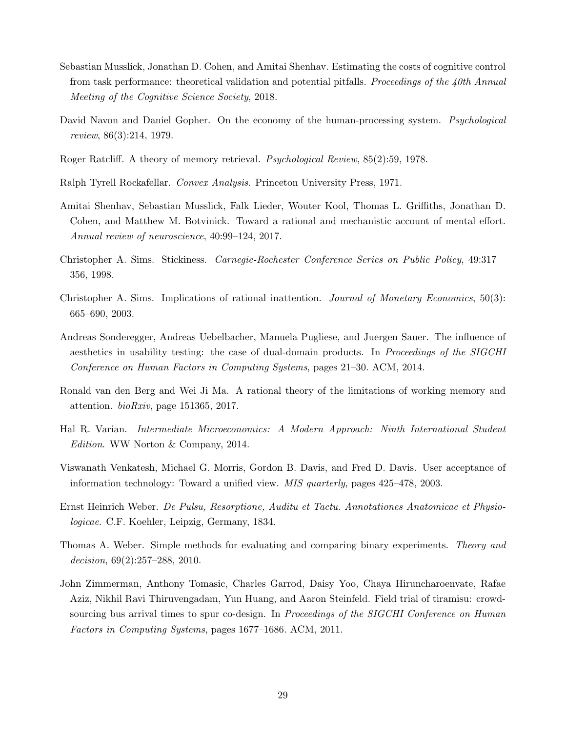- <span id="page-28-5"></span>Sebastian Musslick, Jonathan D. Cohen, and Amitai Shenhav. Estimating the costs of cognitive control from task performance: theoretical validation and potential pitfalls. Proceedings of the 40th Annual Meeting of the Cognitive Science Society, 2018.
- <span id="page-28-3"></span>David Navon and Daniel Gopher. On the economy of the human-processing system. *Psychological* review, 86(3):214, 1979.
- <span id="page-28-2"></span>Roger Ratcliff. A theory of memory retrieval. Psychological Review, 85(2):59, 1978.
- <span id="page-28-12"></span>Ralph Tyrell Rockafellar. Convex Analysis. Princeton University Press, 1971.
- <span id="page-28-4"></span>Amitai Shenhav, Sebastian Musslick, Falk Lieder, Wouter Kool, Thomas L. Griffiths, Jonathan D. Cohen, and Matthew M. Botvinick. Toward a rational and mechanistic account of mental effort. Annual review of neuroscience, 40:99–124, 2017.
- <span id="page-28-10"></span>Christopher A. Sims. Stickiness. Carnegie-Rochester Conference Series on Public Policy, 49:317 – 356, 1998.
- <span id="page-28-11"></span>Christopher A. Sims. Implications of rational inattention. Journal of Monetary Economics, 50(3): 665–690, 2003.
- <span id="page-28-7"></span>Andreas Sonderegger, Andreas Uebelbacher, Manuela Pugliese, and Juergen Sauer. The influence of aesthetics in usability testing: the case of dual-domain products. In Proceedings of the SIGCHI Conference on Human Factors in Computing Systems, pages 21–30. ACM, 2014.
- <span id="page-28-6"></span>Ronald van den Berg and Wei Ji Ma. A rational theory of the limitations of working memory and attention. bioRxiv, page 151365, 2017.
- <span id="page-28-0"></span>Hal R. Varian. Intermediate Microeconomics: A Modern Approach: Ninth International Student Edition. WW Norton & Company, 2014.
- <span id="page-28-8"></span>Viswanath Venkatesh, Michael G. Morris, Gordon B. Davis, and Fred D. Davis. User acceptance of information technology: Toward a unified view. MIS quarterly, pages 425–478, 2003.
- <span id="page-28-1"></span>Ernst Heinrich Weber. De Pulsu, Resorptione, Auditu et Tactu. Annotationes Anatomicae et Physiologicae. C.F. Koehler, Leipzig, Germany, 1834.
- <span id="page-28-13"></span>Thomas A. Weber. Simple methods for evaluating and comparing binary experiments. Theory and decision, 69(2):257–288, 2010.
- <span id="page-28-9"></span>John Zimmerman, Anthony Tomasic, Charles Garrod, Daisy Yoo, Chaya Hiruncharoenvate, Rafae Aziz, Nikhil Ravi Thiruvengadam, Yun Huang, and Aaron Steinfeld. Field trial of tiramisu: crowdsourcing bus arrival times to spur co-design. In *Proceedings of the SIGCHI Conference on Human* Factors in Computing Systems, pages 1677–1686. ACM, 2011.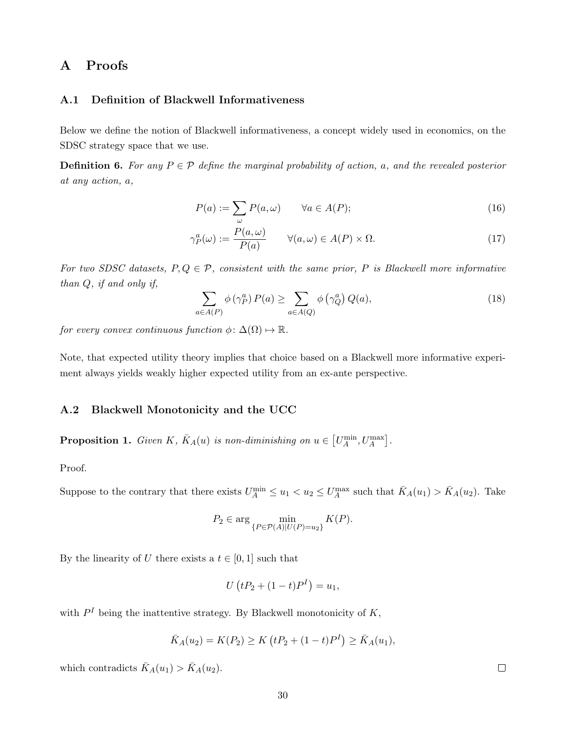# A Proofs

#### <span id="page-29-1"></span>A.1 Definition of Blackwell Informativeness

Below we define the notion of Blackwell informativeness, a concept widely used in economics, on the SDSC strategy space that we use.

**Definition 6.** For any  $P \in \mathcal{P}$  define the marginal probability of action, a, and the revealed posterior at any action, a,

$$
P(a) := \sum_{\omega} P(a, \omega) \qquad \forall a \in A(P); \tag{16}
$$

$$
\gamma_P^a(\omega) := \frac{P(a,\omega)}{P(a)} \qquad \forall (a,\omega) \in A(P) \times \Omega.
$$
 (17)

For two SDSC datasets,  $P, Q \in \mathcal{P}$ , consistent with the same prior, P is Blackwell more informative than Q, if and only if,

$$
\sum_{a \in A(P)} \phi(\gamma_P^a) P(a) \ge \sum_{a \in A(Q)} \phi(\gamma_Q^a) Q(a),\tag{18}
$$

for every convex continuous function  $\phi: \Delta(\Omega) \mapsto \mathbb{R}$ .

Note, that expected utility theory implies that choice based on a Blackwell more informative experiment always yields weakly higher expected utility from an ex-ante perspective.

### <span id="page-29-0"></span>A.2 Blackwell Monotonicity and the UCC

**Proposition 1.** Given K,  $\bar{K}_A(u)$  is non-diminishing on  $u \in [U_A^{\min}, U_A^{\max}]$ .

Proof.

Suppose to the contrary that there exists  $U_A^{\min} \le u_1 < u_2 \le U_A^{\max}$  such that  $\bar{K}_A(u_1) > \bar{K}_A(u_2)$ . Take

$$
P_2 \in \arg\min_{\{P \in \mathcal{P}(A)|U(P)=u_2\}} K(P).
$$

By the linearity of U there exists a  $t \in [0, 1]$  such that

$$
U(tP_2 + (1 - t)P^I) = u_1,
$$

with  $P<sup>I</sup>$  being the inattentive strategy. By Blackwell monotonicity of K,

$$
\bar{K}_A(u_2) = K(P_2) \ge K \left(tP_2 + (1-t)P^I\right) \ge \bar{K}_A(u_1),
$$

which contradicts  $\bar{K}_A(u_1) > \bar{K}_A(u_2)$ .

 $\Box$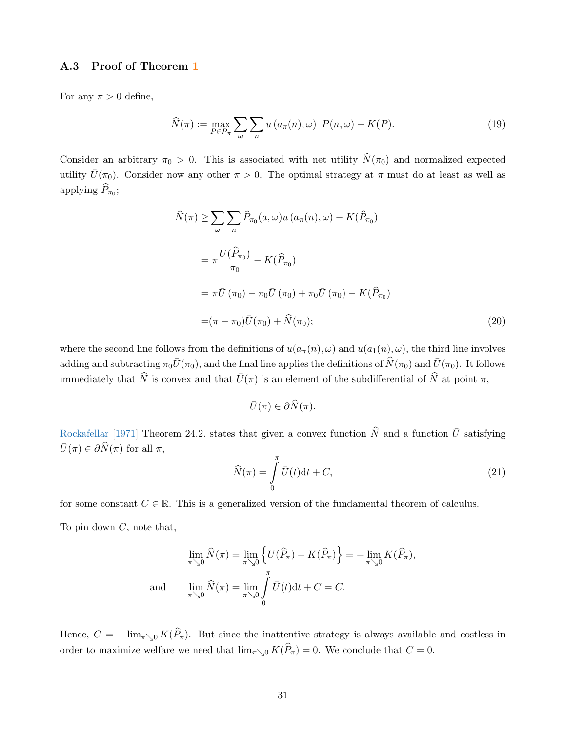### <span id="page-30-0"></span>A.3 Proof of Theorem [1](#page-8-1)

For any  $\pi > 0$  define,

$$
\widehat{N}(\pi) := \max_{P \in \mathcal{P}_{\pi}} \sum_{\omega} \sum_{n} u(a_{\pi}(n), \omega) \ P(n, \omega) - K(P). \tag{19}
$$

Consider an arbitrary  $\pi_0 > 0$ . This is associated with net utility  $\hat{N}(\pi_0)$  and normalized expected utility  $\bar{U}(\pi_0)$ . Consider now any other  $\pi > 0$ . The optimal strategy at  $\pi$  must do at least as well as applying  $P_{\pi_0}$ ;

$$
\widehat{N}(\pi) \ge \sum_{\omega} \sum_{n} \widehat{P}_{\pi_0}(a, \omega) u(a_{\pi}(n), \omega) - K(\widehat{P}_{\pi_0})
$$
\n
$$
= \pi \frac{U(\widehat{P}_{\pi_0})}{\pi_0} - K(\widehat{P}_{\pi_0})
$$
\n
$$
= \pi \bar{U}(\pi_0) - \pi_0 \bar{U}(\pi_0) + \pi_0 \bar{U}(\pi_0) - K(\widehat{P}_{\pi_0})
$$
\n
$$
= (\pi - \pi_0) \bar{U}(\pi_0) + \widehat{N}(\pi_0); \tag{20}
$$

where the second line follows from the definitions of  $u(a_{\pi}(n), \omega)$  and  $u(a_1(n), \omega)$ , the third line involves adding and subtracting  $\pi_0\bar{U}(\pi_0)$ , and the final line applies the definitions of  $\hat{N}(\pi_0)$  and  $\bar{U}(\pi_0)$ . It follows immediately that  $\widehat{N}$  is convex and that  $\overline{U}(\pi)$  is an element of the subdifferential of  $\widehat{N}$  at point  $\pi$ ,

$$
\bar{U}(\pi) \in \partial \widehat{N}(\pi).
$$

[Rockafellar](#page-28-12) [\[1971\]](#page-28-12) Theorem 24.2. states that given a convex function  $\hat{N}$  and a function  $\hat{U}$  satisfying  $\bar{U}(\pi) \in \partial \widehat{N}(\pi)$  for all  $\pi$ ,

<span id="page-30-1"></span>
$$
\widehat{N}(\pi) = \int_{0}^{\pi} \overline{U}(t)dt + C,
$$
\n(21)

for some constant  $C \in \mathbb{R}$ . This is a generalized version of the fundamental theorem of calculus.

To pin down  $C$ , note that,

$$
\lim_{\pi \searrow 0} \widehat{N}(\pi) = \lim_{\pi \searrow 0} \left\{ U(\widehat{P}_{\pi}) - K(\widehat{P}_{\pi}) \right\} = -\lim_{\pi \searrow 0} K(\widehat{P}_{\pi}),
$$
  
and 
$$
\lim_{\pi \searrow 0} \widehat{N}(\pi) = \lim_{\pi \searrow 0} \int_{0}^{\pi} \overline{U}(t) dt + C = C.
$$

Hence,  $C = -\lim_{\pi \searrow 0} K(\hat{P}_{\pi})$ . But since the inattentive strategy is always available and costless in order to maximize welfare we need that  $\lim_{\pi\searrow 0} K(\widehat{P}_\pi) = 0$ . We conclude that  $C = 0$ .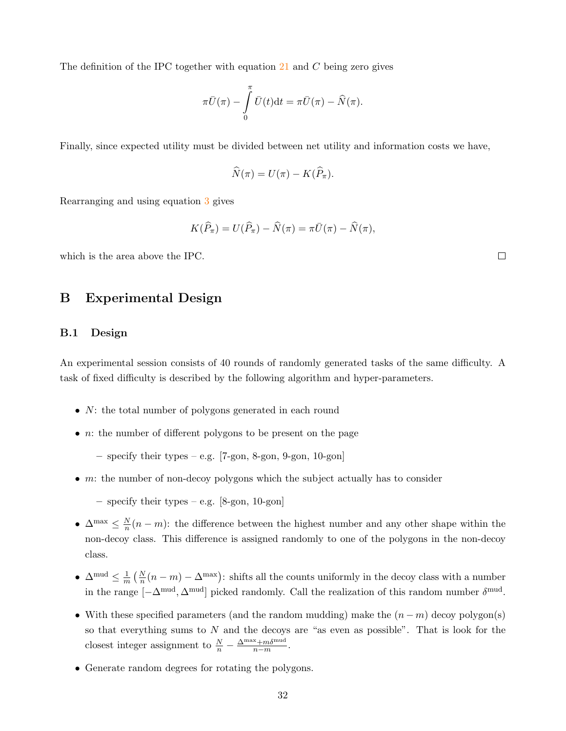The definition of the IPC together with equation  $21$  and C being zero gives

$$
\pi \bar{U}(\pi) - \int_{0}^{\pi} \bar{U}(t) dt = \pi \bar{U}(\pi) - \widehat{N}(\pi).
$$

Finally, since expected utility must be divided between net utility and information costs we have,

$$
\widehat{N}(\pi) = U(\pi) - K(\widehat{P}_{\pi}).
$$

Rearranging and using equation [3](#page-5-1) gives

$$
K(\widehat{P}_{\pi})=U(\widehat{P}_{\pi})-\widehat{N}(\pi)=\pi\bar{U}(\pi)-\widehat{N}(\pi),
$$

which is the area above the IPC.

# B Experimental Design

#### <span id="page-31-0"></span>B.1 Design

An experimental session consists of 40 rounds of randomly generated tasks of the same difficulty. A task of fixed difficulty is described by the following algorithm and hyper-parameters.

- *N*: the total number of polygons generated in each round
- *n*: the number of different polygons to be present on the page
	- specify their types e.g. [7-gon, 8-gon, 9-gon, 10-gon]
- $m$ : the number of non-decoy polygons which the subject actually has to consider
	- specify their types e.g. [8-gon, 10-gon]
- $\Delta^{\max} \leq \frac{N}{n}$  $\frac{N}{n}(n-m)$ : the difference between the highest number and any other shape within the non-decoy class. This difference is assigned randomly to one of the polygons in the non-decoy class.
- $\Delta^{\text{mud}} \leq \frac{1}{m}$  $\frac{1}{m}$   $(\frac{N}{n}(n-m) - \Delta^{\text{max}})$ : shifts all the counts uniformly in the decoy class with a number in the range  $[-\Delta^{\text{mud}}, \Delta^{\text{mud}}]$  picked randomly. Call the realization of this random number  $\delta^{\text{mud}}$ .
- With these specified parameters (and the random mudding) make the  $(n-m)$  decoy polygon(s) so that everything sums to  $N$  and the decoys are "as even as possible". That is look for the closest integer assignment to  $\frac{N}{n} - \frac{\Delta^{\max} + m\delta^{\text{mud}}}{n-m}$  $\frac{n+m_0^{\text{muc}}}{n-m}$ .
- Generate random degrees for rotating the polygons.

 $\Box$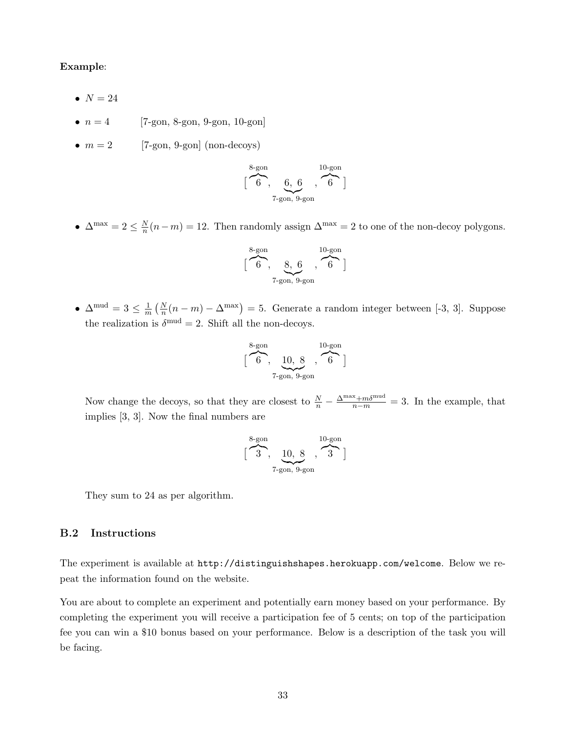#### Example:

- $\bullet$   $N = 24$
- $n = 4$  [7-gon, 8-gon, 9-gon, 10-gon]
- $m = 2$  [7-gon, 9-gon] (non-decoys)

$$
[\overbrace{6}^{8\text{-gon}}, \overbrace{6, 6}^{10\text{-gon}}, \overbrace{6}^{10\text{-gon}}]
$$

•  $\Delta^{\max} = 2 \leq \frac{N}{n}$  $\frac{N}{n}(n-m) = 12$ . Then randomly assign  $\Delta^{\max} = 2$  to one of the non-decoy polygons.

$$
[\overbrace{6}^{8\text{-gon}}, \underbrace{8, 6}_{7\text{-gon}}, \overbrace{6}^{10\text{-gon}}]
$$

 $\bullet$   $\Delta^{\mathrm{mud}}=3\leq\frac{1}{m}$  $\frac{1}{m}(\frac{N}{n}(n-m)-\Delta^{\max})=5.$  Generate a random integer between [-3, 3]. Suppose the realization is  $\delta^{\text{mud}} = 2$ . Shift all the non-decoys.

$$
[\overbrace{6}^{8\text{-gon}}, \underbrace{10, 8}_{7\text{-gon}}, \overbrace{6}^{10\text{-gon}}]
$$

Now change the decoys, so that they are closest to  $\frac{N}{n} - \frac{\Delta^{\max} + m\delta^{\text{mud}}}{n-m} = 3$ . In the example, that implies [3, 3]. Now the final numbers are

$$
[\overbrace{3}^{8\text{-gon}}, \underbrace{10, 8}_{7\text{-gon}}, \overbrace{3}^{10\text{-gon}}]
$$

They sum to 24 as per algorithm.

## <span id="page-32-0"></span>B.2 Instructions

The experiment is available at <http://distinguishshapes.herokuapp.com/welcome>. Below we repeat the information found on the website.

You are about to complete an experiment and potentially earn money based on your performance. By completing the experiment you will receive a participation fee of 5 cents; on top of the participation fee you can win a \$10 bonus based on your performance. Below is a description of the task you will be facing.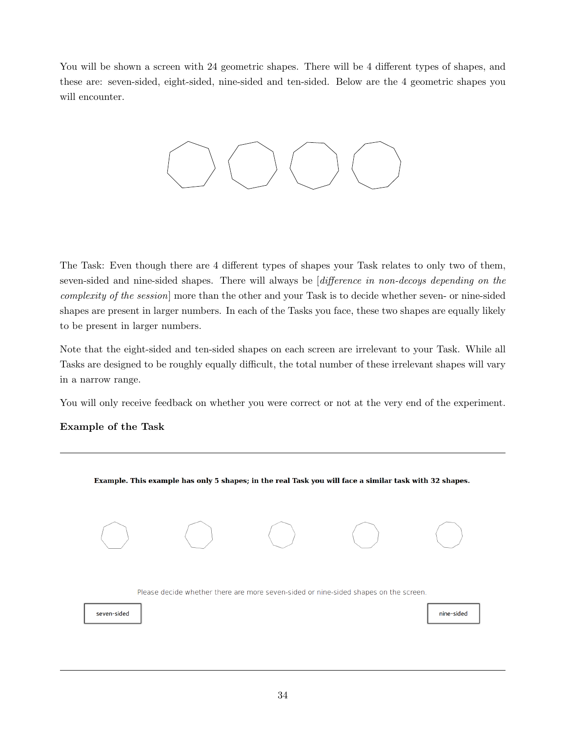You will be shown a screen with 24 geometric shapes. There will be 4 different types of shapes, and these are: seven-sided, eight-sided, nine-sided and ten-sided. Below are the 4 geometric shapes you will encounter.



The Task: Even though there are 4 different types of shapes your Task relates to only two of them, seven-sided and nine-sided shapes. There will always be *difference in non-decoys depending on the* complexity of the session] more than the other and your Task is to decide whether seven- or nine-sided shapes are present in larger numbers. In each of the Tasks you face, these two shapes are equally likely to be present in larger numbers.

Note that the eight-sided and ten-sided shapes on each screen are irrelevant to your Task. While all Tasks are designed to be roughly equally difficult, the total number of these irrelevant shapes will vary in a narrow range.

You will only receive feedback on whether you were correct or not at the very end of the experiment.

# Example of the Task

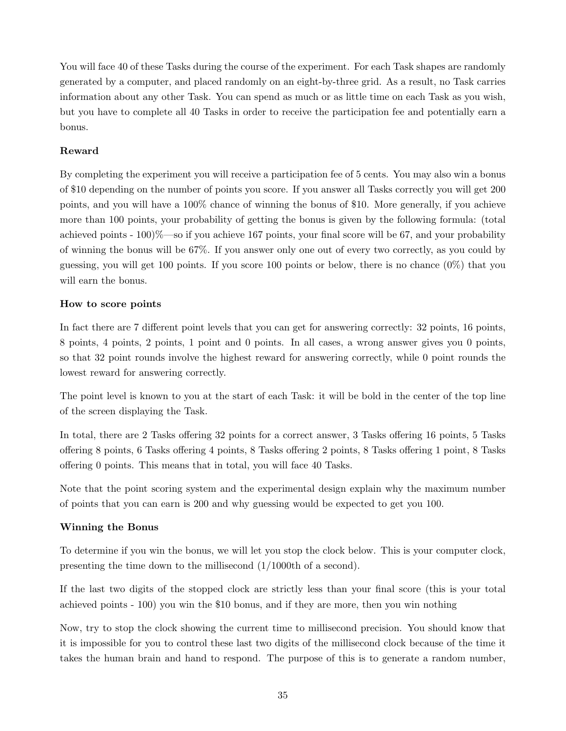You will face 40 of these Tasks during the course of the experiment. For each Task shapes are randomly generated by a computer, and placed randomly on an eight-by-three grid. As a result, no Task carries information about any other Task. You can spend as much or as little time on each Task as you wish, but you have to complete all 40 Tasks in order to receive the participation fee and potentially earn a bonus.

## Reward

By completing the experiment you will receive a participation fee of 5 cents. You may also win a bonus of \$10 depending on the number of points you score. If you answer all Tasks correctly you will get 200 points, and you will have a 100% chance of winning the bonus of \$10. More generally, if you achieve more than 100 points, your probability of getting the bonus is given by the following formula: (total achieved points  $-100\%$ —so if you achieve 167 points, your final score will be 67, and your probability of winning the bonus will be 67%. If you answer only one out of every two correctly, as you could by guessing, you will get 100 points. If you score 100 points or below, there is no chance (0%) that you will earn the bonus.

#### How to score points

In fact there are 7 different point levels that you can get for answering correctly: 32 points, 16 points, 8 points, 4 points, 2 points, 1 point and 0 points. In all cases, a wrong answer gives you 0 points, so that 32 point rounds involve the highest reward for answering correctly, while 0 point rounds the lowest reward for answering correctly.

The point level is known to you at the start of each Task: it will be bold in the center of the top line of the screen displaying the Task.

In total, there are 2 Tasks offering 32 points for a correct answer, 3 Tasks offering 16 points, 5 Tasks offering 8 points, 6 Tasks offering 4 points, 8 Tasks offering 2 points, 8 Tasks offering 1 point, 8 Tasks offering 0 points. This means that in total, you will face 40 Tasks.

Note that the point scoring system and the experimental design explain why the maximum number of points that you can earn is 200 and why guessing would be expected to get you 100.

#### Winning the Bonus

To determine if you win the bonus, we will let you stop the clock below. This is your computer clock, presenting the time down to the millisecond (1/1000th of a second).

If the last two digits of the stopped clock are strictly less than your final score (this is your total achieved points - 100) you win the \$10 bonus, and if they are more, then you win nothing

Now, try to stop the clock showing the current time to millisecond precision. You should know that it is impossible for you to control these last two digits of the millisecond clock because of the time it takes the human brain and hand to respond. The purpose of this is to generate a random number,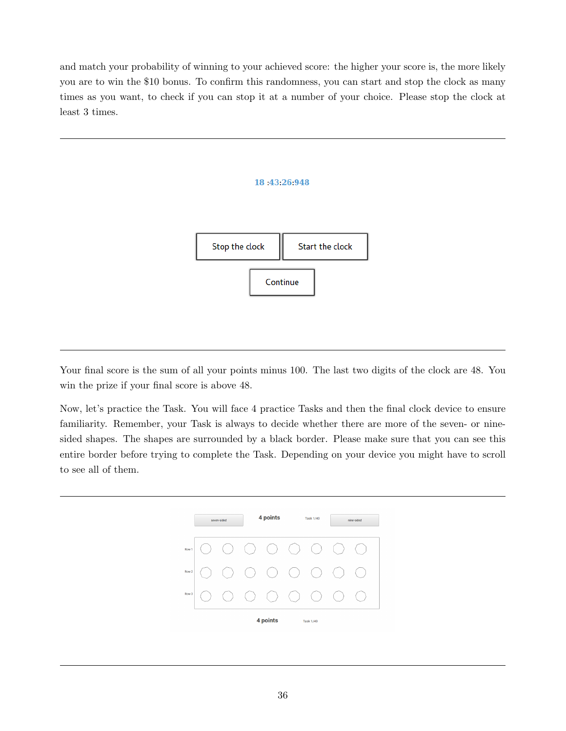and match your probability of winning to your achieved score: the higher your score is, the more likely you are to win the \$10 bonus. To confirm this randomness, you can start and stop the clock as many times as you want, to check if you can stop it at a number of your choice. Please stop the clock at least 3 times.



Your final score is the sum of all your points minus 100. The last two digits of the clock are 48. You win the prize if your final score is above 48.

Now, let's practice the Task. You will face 4 practice Tasks and then the final clock device to ensure familiarity. Remember, your Task is always to decide whether there are more of the seven- or ninesided shapes. The shapes are surrounded by a black border. Please make sure that you can see this entire border before trying to complete the Task. Depending on your device you might have to scroll to see all of them.

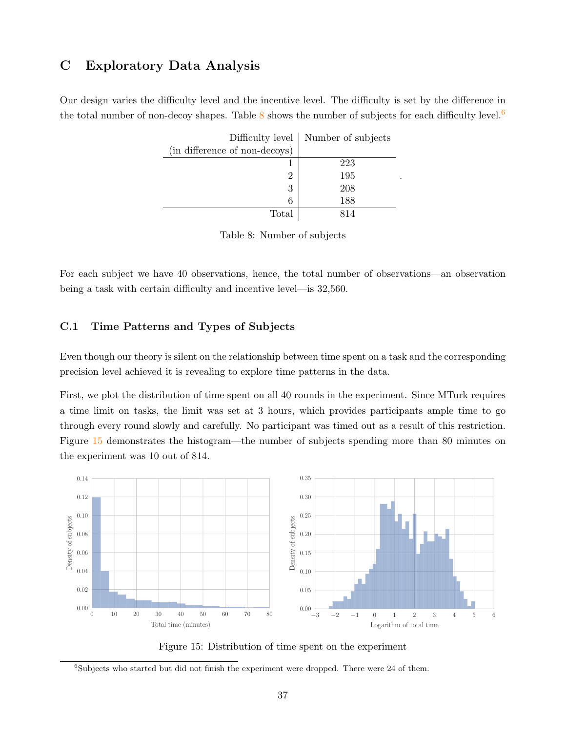# C Exploratory Data Analysis

<span id="page-36-1"></span>Our design varies the difficulty level and the incentive level. The difficulty is set by the difference in the total number of non-decoy shapes. Table  $8$  shows the number of subjects for each difficulty level.<sup>[6](#page-0-0)</sup>

|                               | Difficulty level   Number of subjects |
|-------------------------------|---------------------------------------|
| (in difference of non-decoys) |                                       |
|                               | 223                                   |
| 2                             | 195                                   |
| 3                             | 208                                   |
|                               | 188                                   |
| Total                         |                                       |

.

|  | Table 8: Number of subjects |  |  |
|--|-----------------------------|--|--|
|--|-----------------------------|--|--|

For each subject we have 40 observations, hence, the total number of observations—an observation being a task with certain difficulty and incentive level—is 32,560.

## <span id="page-36-0"></span>C.1 Time Patterns and Types of Subjects

Even though our theory is silent on the relationship between time spent on a task and the corresponding precision level achieved it is revealing to explore time patterns in the data.

First, we plot the distribution of time spent on all 40 rounds in the experiment. Since MTurk requires a time limit on tasks, the limit was set at 3 hours, which provides participants ample time to go through every round slowly and carefully. No participant was timed out as a result of this restriction. Figure [15](#page-36-2) demonstrates the histogram—the number of subjects spending more than 80 minutes on the experiment was 10 out of 814.

<span id="page-36-2"></span>

Figure 15: Distribution of time spent on the experiment

 $6$ Subjects who started but did not finish the experiment were dropped. There were 24 of them.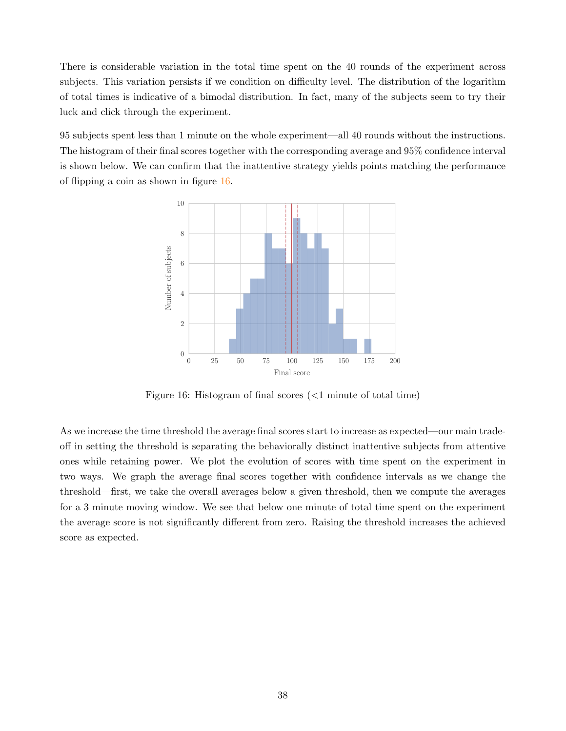There is considerable variation in the total time spent on the 40 rounds of the experiment across subjects. This variation persists if we condition on difficulty level. The distribution of the logarithm of total times is indicative of a bimodal distribution. In fact, many of the subjects seem to try their luck and click through the experiment.

<span id="page-37-0"></span>95 subjects spent less than 1 minute on the whole experiment—all 40 rounds without the instructions. The histogram of their final scores together with the corresponding average and 95% confidence interval is shown below. We can confirm that the inattentive strategy yields points matching the performance of flipping a coin as shown in figure [16.](#page-37-0)



Figure 16: Histogram of final scores (<1 minute of total time)

As we increase the time threshold the average final scores start to increase as expected—our main tradeoff in setting the threshold is separating the behaviorally distinct inattentive subjects from attentive ones while retaining power. We plot the evolution of scores with time spent on the experiment in two ways. We graph the average final scores together with confidence intervals as we change the threshold—first, we take the overall averages below a given threshold, then we compute the averages for a 3 minute moving window. We see that below one minute of total time spent on the experiment the average score is not significantly different from zero. Raising the threshold increases the achieved score as expected.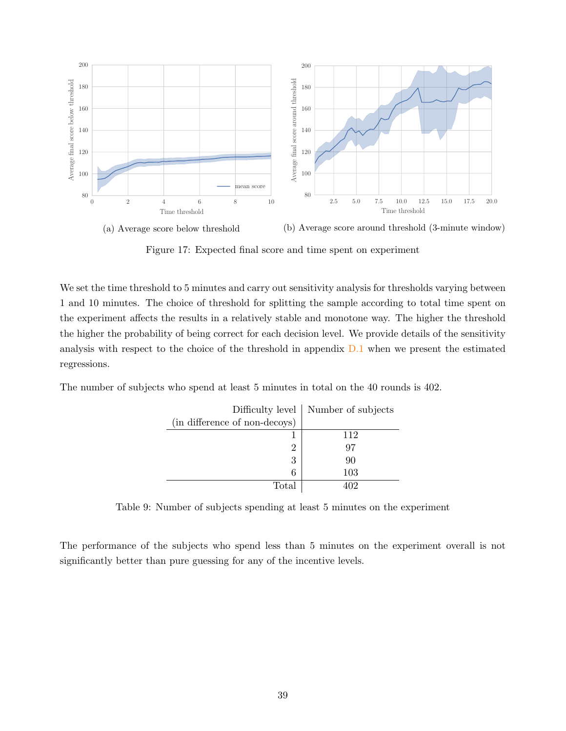

(a) Average score below threshold

(b) Average score around threshold (3-minute window)

Figure 17: Expected final score and time spent on experiment

We set the time threshold to 5 minutes and carry out sensitivity analysis for thresholds varying between 1 and 10 minutes. The choice of threshold for splitting the sample according to total time spent on the experiment affects the results in a relatively stable and monotone way. The higher the threshold the higher the probability of being correct for each decision level. We provide details of the sensitivity analysis with respect to the choice of the threshold in appendix [D.1](#page-41-1) when we present the estimated regressions.

The number of subjects who spend at least 5 minutes in total on the 40 rounds is 402.

|                               | Difficulty level   Number of subjects |
|-------------------------------|---------------------------------------|
| (in difference of non-decoys) |                                       |
|                               | 112                                   |
|                               | 97                                    |
| 3                             | 90                                    |
| 6                             | 103                                   |
| Total                         |                                       |

Table 9: Number of subjects spending at least 5 minutes on the experiment

The performance of the subjects who spend less than 5 minutes on the experiment overall is not significantly better than pure guessing for any of the incentive levels.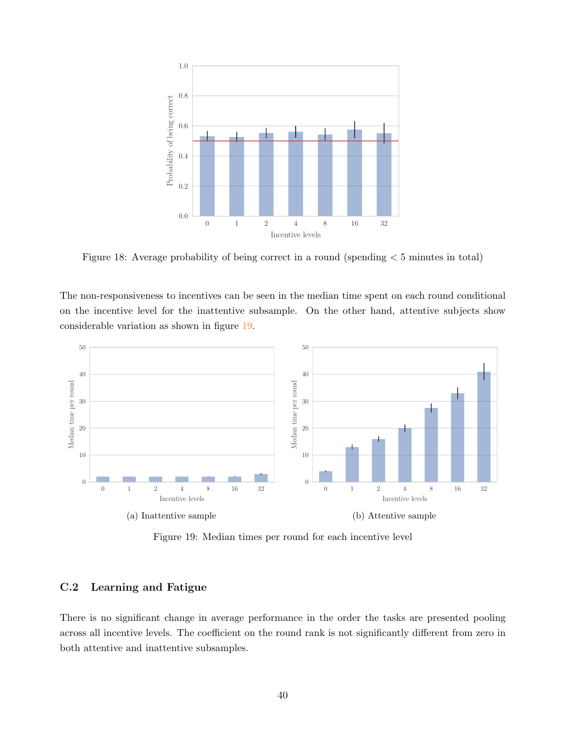

Figure 18: Average probability of being correct in a round (spending < 5 minutes in total)

The non-responsiveness to incentives can be seen in the median time spent on each round conditional on the incentive level for the inattentive subsample. On the other hand, attentive subjects show considerable variation as shown in figure [19.](#page-39-1)

<span id="page-39-1"></span>

Figure 19: Median times per round for each incentive level

### <span id="page-39-0"></span>C.2 Learning and Fatigue

There is no significant change in average performance in the order the tasks are presented pooling across all incentive levels. The coefficient on the round rank is not significantly different from zero in both attentive and inattentive subsamples.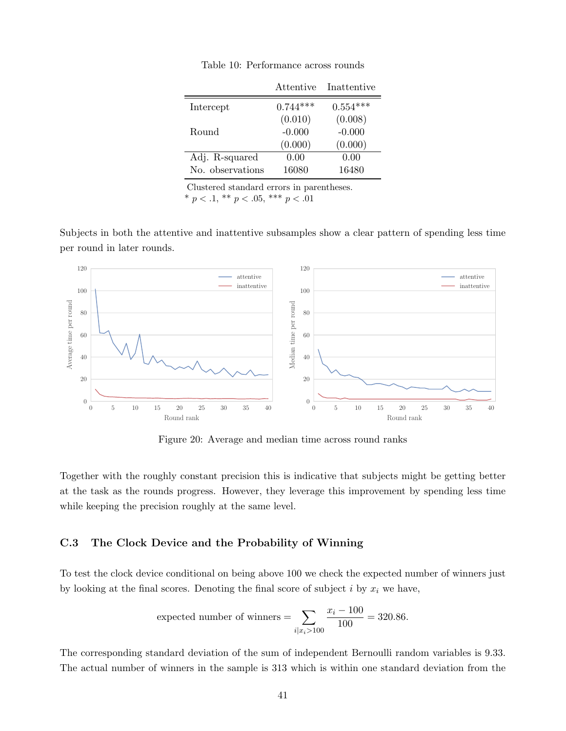|                  | Attentive  | Inattentive |
|------------------|------------|-------------|
| Intercept        | $0.744***$ | $0.554***$  |
|                  | (0.010)    | (0.008)     |
| Round            | $-0.000$   | $-0.000$    |
|                  | (0.000)    | (0.000)     |
| Adj. R-squared   | 0.00       | 0.00        |
| No. observations | 16080      | 16480       |

Table 10: Performance across rounds

Clustered standard errors in parentheses. \*  $p < .1$ , \*\*  $p < .05$ , \*\*\*  $p < .01$ 

Subjects in both the attentive and inattentive subsamples show a clear pattern of spending less time per round in later rounds.



Figure 20: Average and median time across round ranks

Together with the roughly constant precision this is indicative that subjects might be getting better at the task as the rounds progress. However, they leverage this improvement by spending less time while keeping the precision roughly at the same level.

## <span id="page-40-0"></span>C.3 The Clock Device and the Probability of Winning

To test the clock device conditional on being above 100 we check the expected number of winners just by looking at the final scores. Denoting the final score of subject  $i$  by  $x_i$  we have,

expected number of winners = 
$$
\sum_{i|x_i > 100} \frac{x_i - 100}{100} = 320.86.
$$

The corresponding standard deviation of the sum of independent Bernoulli random variables is 9.33. The actual number of winners in the sample is 313 which is within one standard deviation from the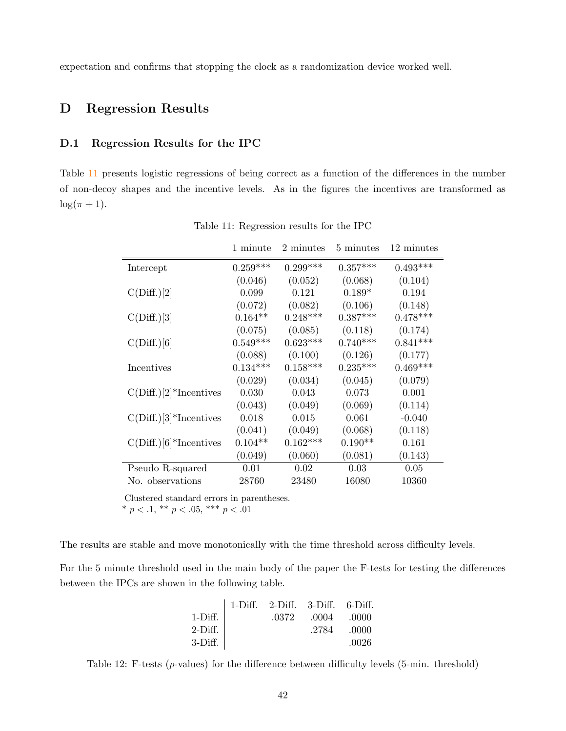expectation and confirms that stopping the clock as a randomization device worked well.

# <span id="page-41-0"></span>D Regression Results

### <span id="page-41-1"></span>D.1 Regression Results for the IPC

<span id="page-41-2"></span>Table [11](#page-41-2) presents logistic regressions of being correct as a function of the differences in the number of non-decoy shapes and the incentive levels. As in the figures the incentives are transformed as  $\log(\pi + 1)$ .

|                            | 1 minute   | 2 minutes  | 5 minutes  | 12 minutes |
|----------------------------|------------|------------|------------|------------|
| Intercept                  | $0.259***$ | $0.299***$ | $0.357***$ | $0.493***$ |
|                            | (0.046)    | (0.052)    | (0.068)    | (0.104)    |
| C(Diff.)[2]                | 0.099      | 0.121      | $0.189*$   | 0.194      |
|                            | (0.072)    | (0.082)    | (0.106)    | (0.148)    |
| C(Diff.)[3]                | $0.164**$  | $0.248***$ | $0.387***$ | $0.478***$ |
|                            | (0.075)    | (0.085)    | (0.118)    | (0.174)    |
| C(Diff.)[6]                | $0.549***$ | $0.623***$ | $0.740***$ | $0.841***$ |
|                            | (0.088)    | (0.100)    | (0.126)    | (0.177)    |
| Incentives                 | $0.134***$ | $0.158***$ | $0.235***$ | $0.469***$ |
|                            | (0.029)    | (0.034)    | (0.045)    | (0.079)    |
| $C(Diff.)[2]^*$ Incentives | 0.030      | 0.043      | 0.073      | 0.001      |
|                            | (0.043)    | (0.049)    | (0.069)    | (0.114)    |
| $C(Diff.)[3]^*$ Incentives | 0.018      | 0.015      | 0.061      | $-0.040$   |
|                            | (0.041)    | (0.049)    | (0.068)    | (0.118)    |
| $C(Diff.)[6]^*$ Incentives | $0.104**$  | $0.162***$ | $0.190**$  | 0.161      |
|                            | (0.049)    | (0.060)    | (0.081)    | (0.143)    |
| Pseudo R-squared           | 0.01       | 0.02       | 0.03       | 0.05       |
| No. observations           | 28760      | 23480      | 16080      | 10360      |

Table 11: Regression results for the IPC

Clustered standard errors in parentheses.

\*  $p < .1$ , \*\*  $p < .05$ , \*\*\*  $p < .01$ 

The results are stable and move monotonically with the time threshold across difficulty levels.

For the 5 minute threshold used in the main body of the paper the F-tests for testing the differences between the IPCs are shown in the following table.

|           | $\vert$ 1-Diff. 2-Diff. 3-Diff. 6-Diff. |                         |       |
|-----------|-----------------------------------------|-------------------------|-------|
| 1-Diff.   |                                         | $.0372$ $.0004$ $.0000$ |       |
| $2-Diff.$ |                                         | .2784                   | .0000 |
| 3-Diff.   |                                         |                         | .0026 |

Table 12: F-tests (p-values) for the difference between difficulty levels (5-min. threshold)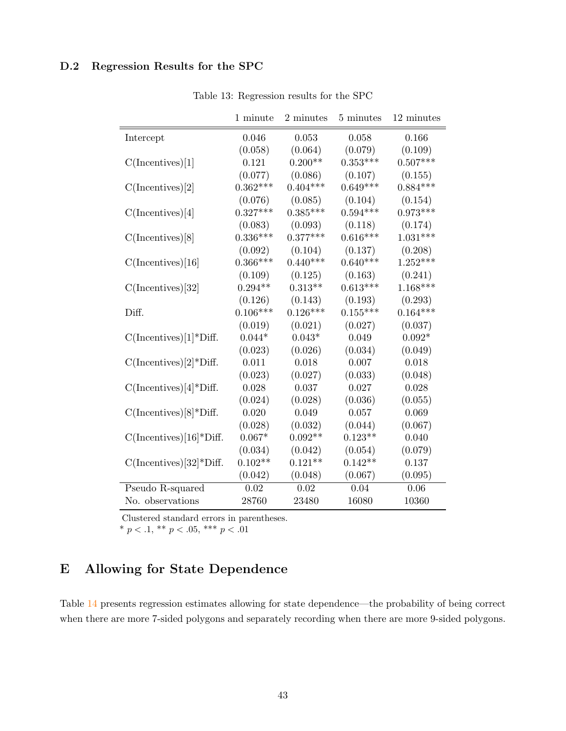# D.2 Regression Results for the SPC

|                                       | 1 minute   | 2 minutes  | 5 minutes  | 12 minutes |
|---------------------------------------|------------|------------|------------|------------|
| Intercept                             | 0.046      | 0.053      | 0.058      | 0.166      |
|                                       | (0.058)    | (0.064)    | (0.079)    | (0.109)    |
| C(Incentives)[1]                      | 0.121      | $0.200**$  | $0.353***$ | $0.507***$ |
|                                       | (0.077)    | (0.086)    | (0.107)    | (0.155)    |
| C(Incentives)[2]                      | $0.362***$ | $0.404***$ | $0.649***$ | $0.884***$ |
|                                       | (0.076)    | (0.085)    | (0.104)    | (0.154)    |
| C(Incentives)[4]                      | $0.327***$ | $0.385***$ | $0.594***$ | $0.973***$ |
|                                       | (0.083)    | (0.093)    | (0.118)    | (0.174)    |
| C(Incentives)[8]                      | $0.336***$ | $0.377***$ | $0.616***$ | $1.031***$ |
|                                       | (0.092)    | (0.104)    | (0.137)    | (0.208)    |
| C(Incentives)[16]                     | $0.366***$ | $0.440***$ | $0.640***$ | $1.252***$ |
|                                       | (0.109)    | (0.125)    | (0.163)    | (0.241)    |
| $C($ Incentives $)[32]$               | $0.294**$  | $0.313**$  | $0.613***$ | $1.168***$ |
|                                       | (0.126)    | (0.143)    | (0.193)    | (0.293)    |
| Diff.                                 | $0.106***$ | $0.126***$ | $0.155***$ | $0.164***$ |
|                                       | (0.019)    | (0.021)    | (0.027)    | (0.037)    |
| $C(Incentives)[1]^*Diff.$             | $0.044*$   | $0.043*$   | 0.049      | $0.092*$   |
|                                       | (0.023)    | (0.026)    | (0.034)    | (0.049)    |
| $C(Incentives)[2]^*Diff.$             | 0.011      | 0.018      | 0.007      | 0.018      |
|                                       | (0.023)    | (0.027)    | (0.033)    | (0.048)    |
| $C(Incentives)[4]$ <sup>*</sup> Diff. | 0.028      | 0.037      | 0.027      | 0.028      |
|                                       | (0.024)    | (0.028)    | (0.036)    | (0.055)    |
| $C(Incentives)[8]^*Diff.$             | 0.020      | 0.049      | 0.057      | 0.069      |
|                                       | (0.028)    | (0.032)    | (0.044)    | (0.067)    |
| $C(Incentives)[16]*Diff.$             | $0.067*$   | $0.092**$  | $0.123**$  | 0.040      |
|                                       | (0.034)    | (0.042)    | (0.054)    | (0.079)    |
| $C(Incentives)[32]^*Diff.$            | $0.102**$  | $0.121**$  | $0.142**$  | 0.137      |
|                                       | (0.042)    | (0.048)    | (0.067)    | (0.095)    |
| Pseudo R-squared                      | 0.02       | 0.02       | 0.04       | 0.06       |
| No. observations                      | 28760      | 23480      | 16080      | 10360      |

Table 13: Regression results for the SPC

Clustered standard errors in parentheses.

\*  $p < 0.1$ , \*\*  $p < 0.05$ , \*\*\*  $p < 0.01$ 

# <span id="page-42-0"></span>E Allowing for State Dependence

Table [14](#page-43-0) presents regression estimates allowing for state dependence—the probability of being correct when there are more 7-sided polygons and separately recording when there are more 9-sided polygons.